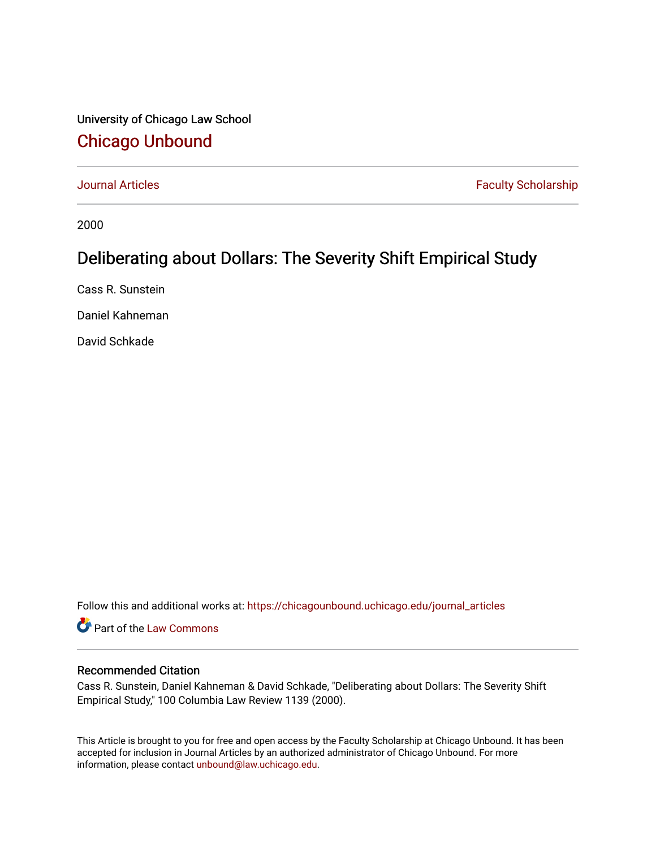University of Chicago Law School [Chicago Unbound](https://chicagounbound.uchicago.edu/)

[Journal Articles](https://chicagounbound.uchicago.edu/journal_articles) **Faculty Scholarship Journal Articles** 

2000

# Deliberating about Dollars: The Severity Shift Empirical Study

Cass R. Sunstein

Daniel Kahneman

David Schkade

Follow this and additional works at: [https://chicagounbound.uchicago.edu/journal\\_articles](https://chicagounbound.uchicago.edu/journal_articles?utm_source=chicagounbound.uchicago.edu%2Fjournal_articles%2F8348&utm_medium=PDF&utm_campaign=PDFCoverPages) 

Part of the [Law Commons](http://network.bepress.com/hgg/discipline/578?utm_source=chicagounbound.uchicago.edu%2Fjournal_articles%2F8348&utm_medium=PDF&utm_campaign=PDFCoverPages)

# Recommended Citation

Cass R. Sunstein, Daniel Kahneman & David Schkade, "Deliberating about Dollars: The Severity Shift Empirical Study," 100 Columbia Law Review 1139 (2000).

This Article is brought to you for free and open access by the Faculty Scholarship at Chicago Unbound. It has been accepted for inclusion in Journal Articles by an authorized administrator of Chicago Unbound. For more information, please contact [unbound@law.uchicago.edu](mailto:unbound@law.uchicago.edu).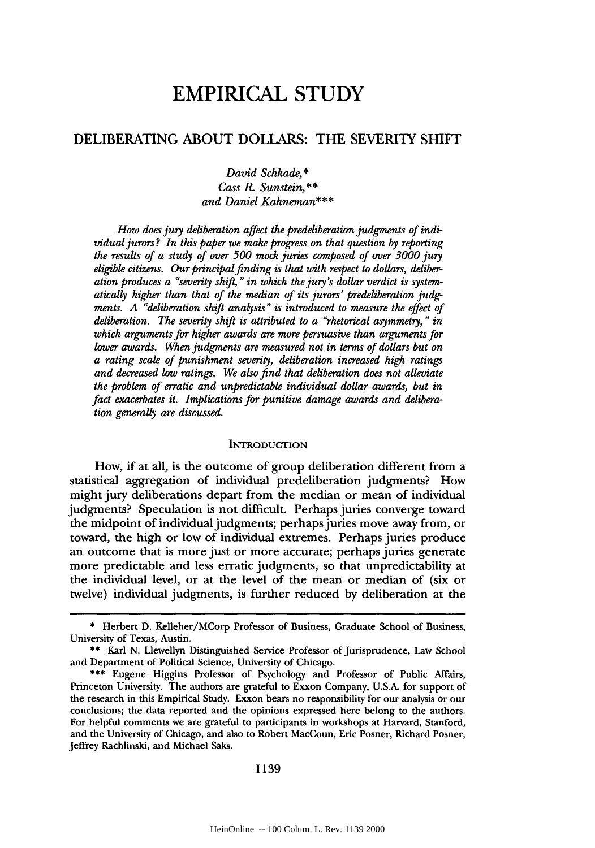# **EMPIRICAL STUDY**

# DELIBERATING ABOUT DOLLARS: THE SEVERITY SHIFT

*David Schkade,* **\*** *Cass* R- *Sunstein,\*\* and Daniel Kahneman\*\*\**

*How does juy deliberation affect the predeliberation judgments of* indi*vidual jurors? In this paper we make progress on that question by reporting the results of a study of over 500 mock juries composed of over 3000 juy* eligible citizens. Our principal finding is that with respect to dollars, deliber*ation produces a "severity shift," in which the jury's dollar verdict is systematically higher than that of the median of its jurors' predeliberation judgments. A "deliberation shift analysis" is introduced to measure the effect of deliberation. The severity* shift *is attributed to a "rhetorical asymmetry," in which arguments for higher awards are more persuasive than arguments for lower awards. When judgments are measured not in terms of dollars but on a rating scale of punishment severity, deliberation increased high ratings and decreased low ratings. We also find that deliberation does not alleviate the problem of erratic and unpredictable individual dollar awards, but in fact exacerbates it. Implications for punitive damage awards and deliberation generally are discussed.*

### **INTRODUCTION**

How, if at all, is the outcome of group deliberation different from a statistical aggregation of individual predeliberation judgments? How might jury deliberations depart from the median or mean of individual judgments? Speculation is not difficult. Perhaps juries converge toward the midpoint of individual judgments; perhaps juries move away from, or toward, the high or low of individual extremes. Perhaps juries produce an outcome that is more just or more accurate; perhaps juries generate more predictable and less erratic judgments, so that unpredictability at the individual level, or at the level of the mean or median of (six or twelve) individual judgments, is further reduced by deliberation at the

<sup>\*</sup> Herbert D. Kelleher/MCorp Professor of Business, Graduate School of Business, University of Texas, Austin.

<sup>\*\*</sup> Karl N. Llewellyn Distinguished Service Professor of Jurisprudence, Law School and Department of Political Science, University of Chicago.

<sup>\*\*\*</sup> Eugene Higgins Professor of Psychology and Professor of Public Affairs, Princeton University. The authors are grateful to Exxon Company, U.S.A. for support of the research in this Empirical Study. Exxon bears no responsibility for our analysis or our conclusions; the data reported and the opinions expressed here belong to the authors. For helpful comments we are grateful to participants in workshops at Harvard, Stanford, and the University of Chicago, and also to Robert MacCoun, Eric Posner, Richard Posner, Jeffrey Rachlinski, and Michael Saks.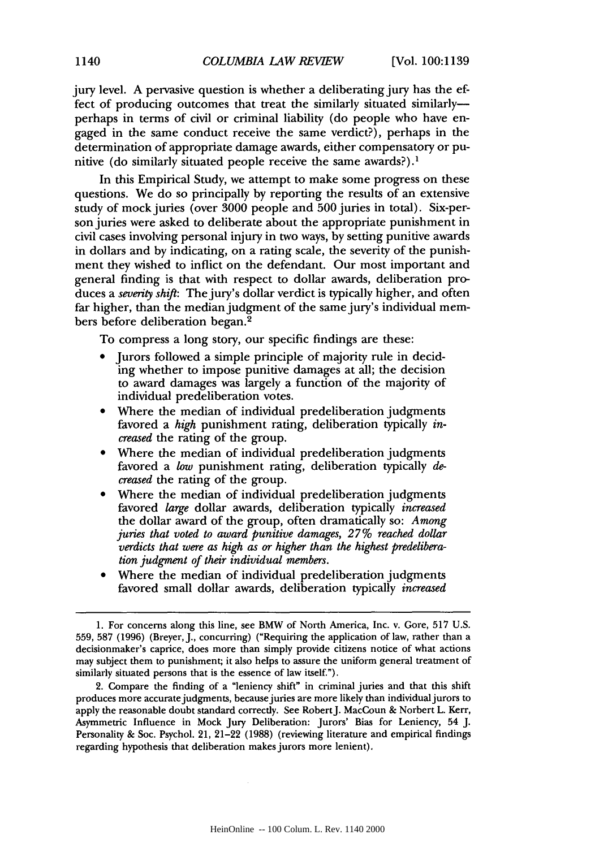jury level. A pervasive question is whether a deliberating jury has the effect of producing outcomes that treat the similarly situated similarlyperhaps in terms of civil or criminal liability (do people who have engaged in the same conduct receive the same verdict?), perhaps in the determination of appropriate damage awards, either compensatory or punitive (do similarly situated people receive the same awards?).<sup>1</sup>

In this Empirical Study, we attempt to make some progress on these questions. We do so principally by reporting the results of an extensive study of mock juries (over 3000 people and 500 juries in total). Six-person juries were asked to deliberate about the appropriate punishment in civil cases involving personal injury in two ways, by setting punitive awards in dollars and by indicating, on a rating scale, the severity of the punishment they wished to inflict on the defendant. Our most important and general finding is that with respect to dollar awards, deliberation produces a *severity shift*: The jury's dollar verdict is typically higher, and often far higher, than the median judgment of the same jury's individual members before deliberation began. <sup>2</sup>

To compress a long story, our specific findings are these:

- **"** Jurors followed a simple principle of majority rule in deciding whether to impose punitive damages at all; the decision to award damages was largely a function of the majority of individual predeliberation votes.
- **"** Where the median of individual predeliberation judgments favored a *high* punishment rating, deliberation typically *increased* the rating of the group.
- Where the median of individual predeliberation judgments favored a *low* punishment rating, deliberation typically *decreased* the rating of the group.
- Where the median of individual predeliberation judgments favored *large* dollar awards, deliberation typically *increased* the dollar award of the group, often dramatically so: *Among juries that voted to award punitive damages, 27% reached dollar verdicts that were as high as or higher than the highest predeliberation judgment of their individual members.*
- Where the median of individual predeliberation judgments favored small dollar awards, deliberation typically *increased*

<sup>1.</sup> For concerns along this line, see BMW of North America, Inc. v. Gore, 517 U.S. 559, 587 (1996) (Breyer, J., concurring) ("Requiring the application of law, rather than a decisionmaker's caprice, does more than simply provide citizens notice of what actions may subject them to punishment; it also helps to assure the uniform general treatment of similarly situated persons that is the essence of law itself.").

<sup>2.</sup> Compare the finding of a "leniency shift" in criminal juries and that this shift produces more accurate judgments, because juries are more likely than individual jurors to apply the reasonable doubt standard correctly. See RobertJ. MacCoun & Norbert L. Kerr, Asymmetric Influence in Mock Jury Deliberation: Jurors' Bias for Leniency, 54 J. Personality & Soc. Psychol. 21, 21-22 (1988) (reviewing literature and empirical findings regarding hypothesis that deliberation makes jurors more lenient).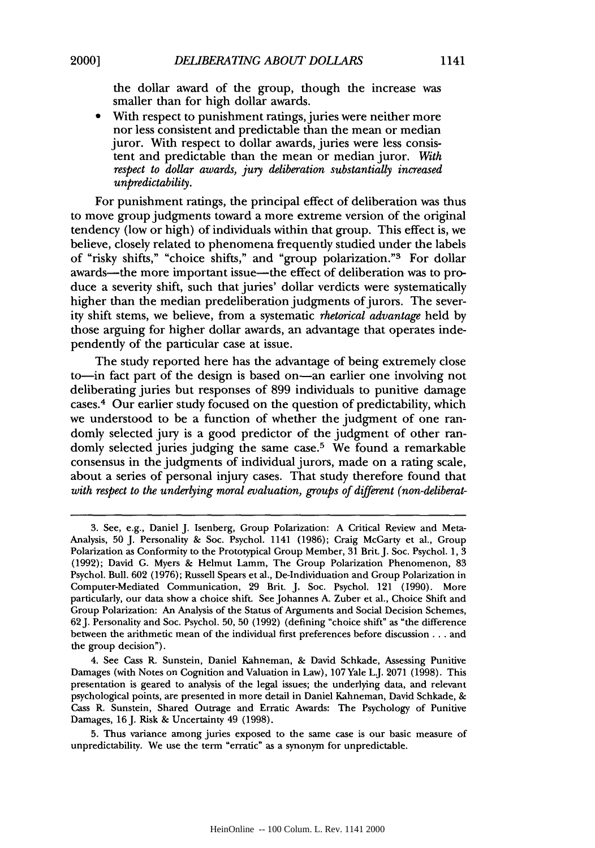the dollar award of the group, though the increase was smaller than for high dollar awards.

With respect to punishment ratings, juries were neither more nor less consistent and predictable than the mean or median juror. With respect to dollar awards, juries were less consistent and predictable than the mean or median juror. *With respect to dollar awards, jury deliberation substantially increased unpredictability.*

For punishment ratings, the principal effect of deliberation was thus to move group judgments toward a more extreme version of the original tendency (low or high) of individuals within that group. This effect is, we believe, closely related to phenomena frequently studied under the labels of "risky shifts," "choice shifts," and "group polarization."<sup>3</sup> For dollar awards—the more important issue—the effect of deliberation was to produce a severity shift, such that juries' dollar verdicts were systematically higher than the median predeliberation judgments of jurors. The severity shift stems, we believe, from a systematic *rhetorical advantage* held **by** those arguing for higher dollar awards, an advantage that operates independently of the particular case at issue.

The study reported here has the advantage of being extremely close to-in fact part of the design is based on-an earlier one involving not deliberating juries but responses of **899** individuals to punitive damage cases.4 Our earlier study focused on the question of predictability, which we understood to be a function of whether the judgment of one randomly selected jury is a good predictor of the judgment of other randomly selected juries judging the same case.<sup>5</sup> We found a remarkable consensus in the judgments of individual jurors, made on a rating scale, about a series of personal injury cases. That study therefore found that with respect to the underlying moral evaluation, groups of different (non-deliberat-

5. Thus variance among juries exposed to the same case is our basic measure of unpredictability. We use the term "erratic" as a synonym for unpredictable.

<sup>3.</sup> See, e.g., Daniel J. Isenberg, Group Polarization: A Critical Review and Meta-Analysis, 50 J. Personality & Soc. Psychol. 1141 (1986); Craig McGarty et al., Group Polarization as Conformity to the Prototypical Group Member, 31 Brit. J. Soc. Psychol. 1, 3 (1992); David G. Myers & Helmut Lamm, The Group Polarization Phenomenon, 83 Psychol. Bull. 602 (1976); Russell Spears et al., De-Individuation and Group Polarization in Computer-Mediated Communication, 29 Brit. J. Soc. Psychol. 121 (1990). More particularly, our data show a choice shift. See Johannes **A.** Zuber et al., Choice Shift and Group Polarization: An Analysis of the Status of Arguments and Social Decision Schemes, 62J. Personality and Soc. Psychol. 50, 50 (1992) (defining "choice shift" as "the difference between the arithmetic mean of the individual first preferences before discussion... and the group decision").

<sup>4.</sup> See Cass R. Sunstein, Daniel Kahneman, & David Schkade, Assessing Punitive Damages (with Notes on Cognition and Valuation in Law), 107 Yale L.J. 2071 (1998). This presentation is geared to analysis of the legal issues; the underlying data, and relevant psychological points, are presented in more detail in Daniel Kahneman, David Schkade, & Cass R. Sunstein, Shared Outrage and Erratic Awards: The Psychology of Punitive Damages, 16 J. Risk & Uncertainty 49 (1998).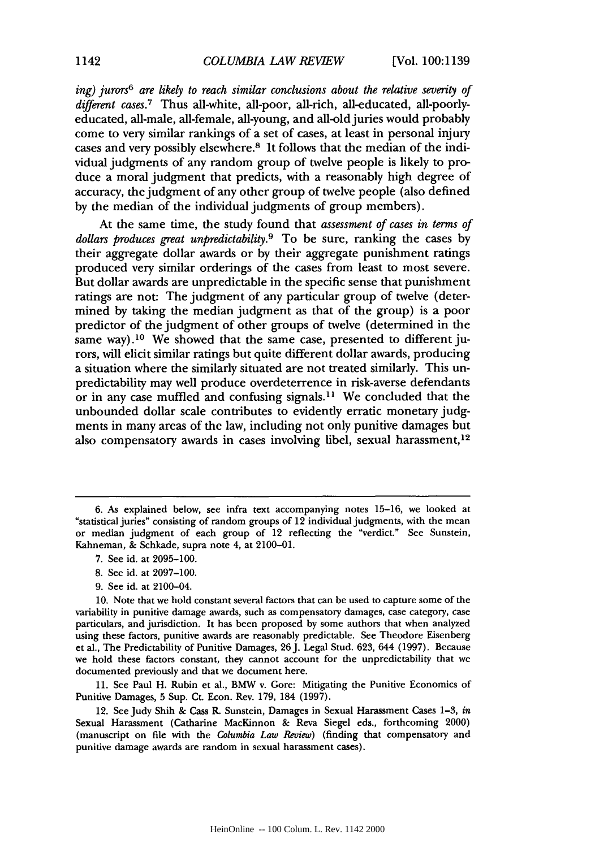*ing) jurors6 are likely to reach similar conclusions about the relative severity of different cases.7* Thus all-white, all-poor, all-rich, all-educated, all-poorlyeducated, all-male, all-female, all-young, and all-old juries would probably come to very similar rankings of a set of cases, at least in personal injury cases and very possibly elsewhere. 8 It follows that the median of the individual judgments of any random group of twelve people is likely to produce a moral judgment that predicts, with a reasonably high degree of accuracy, the judgment of any other group of twelve people (also defined by the median of the individual judgments of group members).

At the same time, the study found that *assessment of cases in terms of dollars produces great unpredictability.9* To be sure, ranking the cases by their aggregate dollar awards or by their aggregate punishment ratings produced very similar orderings of the cases from least to most severe. But dollar awards are unpredictable in the specific sense that punishment ratings are not: The judgment of any particular group of twelve (determined by taking the median judgment as that of the group) is a poor predictor of the judgment of other groups of twelve (determined in the same way).<sup>10</sup> We showed that the same case, presented to different jurors, will elicit similar ratings but quite different dollar awards, producing a situation where the similarly situated are not treated similarly. This unpredictability may well produce overdeterrence in risk-averse defendants or in any case muffled and confusing signals.<sup>11</sup> We concluded that the unbounded dollar scale contributes to evidently erratic monetary judgments in many areas of the law, including not only punitive damages but also compensatory awards in cases involving libel, sexual harassment,<sup>12</sup>

- 8. See id. at 2097-100.
- 9. See id. at 2100-04.

10. Note that we hold constant several factors that can be used to capture some of the variability in punitive damage awards, such as compensatory damages, case category, case particulars, and jurisdiction. It has been proposed by some authors that when analyzed using these factors, punitive awards are reasonably predictable. See Theodore Eisenberg et al., The Predictability of Punitive Damages, 26J. Legal Stud. 623, 644 (1997). Because we hold these factors constant, they cannot account for the unpredictability that we documented previously and that we document here.

11. See Paul H. Rubin et al., BMW v. Gore: Mitigating the Punitive Economics of Punitive Damages, 5 Sup. Ct. Econ. Rev. 179, 184 (1997).

12. See Judy Shih & Cass R. Sunstein, Damages in Sexual Harassment Cases 1-3, *in* Sexual Harassment (Catharine MacKinnon & Reva Siegel eds., forthcoming 2000) (manuscript on file with the *Columbia Law Review)* (finding that compensatory and punitive damage awards are random in sexual harassment cases).

<sup>6.</sup> As explained below, see infra text accompanying notes 15-16, we looked at "statistical juries" consisting of random groups of 12 individual judgments, with the mean or median judgment of each group of 12 reflecting the "verdict." See Sunstein, Kahneman, & Schkade, supra note 4, at 2100-01.

<sup>7.</sup> See id. at 2095-100.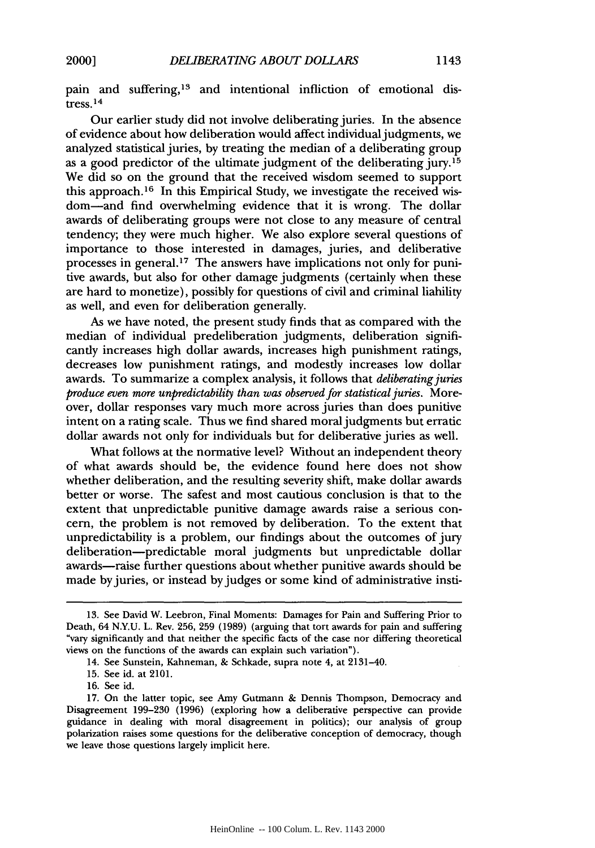pain and suffering, 13 and intentional infliction of emotional distress. 14

Our earlier study did not involve deliberating juries. In the absence of evidence about how deliberation would affect individual judgments, we analyzed statistical juries, by treating the median of a deliberating group as a good predictor of the ultimate judgment of the deliberating jury.15 We did so on the ground that the received wisdom seemed to support this approach. 16 In this Empirical Study, we investigate the received wisdom-and find overwhelming evidence that it is wrong. The dollar awards of deliberating groups were not close to any measure of central tendency; they were much higher. We also explore several questions of importance to those interested in damages, juries, and deliberative processes in general.<sup>17</sup> The answers have implications not only for punitive awards, but also for other damage judgments (certainly when these are hard to monetize), possibly for questions of civil and criminal liability as well, and even for deliberation generally.

As we have noted, the present study finds that as compared with the median of individual predeliberation judgments, deliberation significantly increases high dollar awards, increases high punishment ratings, decreases low punishment ratings, and modestly increases low dollar awards. To summarize a complex analysis, it follows that *deliberating juries produce even more unpredictability than was observed for statistical juries.* Moreover, dollar responses vary much more across juries than does punitive intent on a rating scale. Thus we find shared moral judgments but erratic dollar awards not only for individuals but for deliberative juries as well.

What follows at the normative level? Without an independent theory of what awards should be, the evidence found here does not show whether deliberation, and the resulting severity shift, make dollar awards better or worse. The safest and most cautious conclusion is that to the extent that unpredictable punitive damage awards raise a serious concern, the problem is not removed by deliberation. To the extent that unpredictability is a problem, our findings about the outcomes of jury deliberation-predictable moral judgments but unpredictable dollar awards-raise further questions about whether punitive awards should be made by juries, or instead by judges or some kind of administrative insti-

**<sup>13.</sup>** See David W. Leebron, Final Moments: Damages for Pain and Suffering Prior to Death, 64 N.Y.U. L. Rev. 256, 259 (1989) (arguing that tort awards for pain and suffering "vary significantly and that neither the specific facts of the case nor differing theoretical views on the functions of the awards can explain such variation").

<sup>14.</sup> See Sunstein, Kahneman, **&** Schkade, supra note 4, at 2131-40.

**<sup>15.</sup>** See id. at 2101.

**<sup>16.</sup>** See id.

**<sup>17.</sup>** On the latter topic, see Amy Gutmann & Dennis Thompson, Democracy and Disagreement **199-230 (1996)** (exploring how a deliberative perspective can provide guidance in dealing with moral disagreement in politics); our analysis of group polarization raises some questions for the deliberative conception of democracy, though we leave those questions largely implicit here.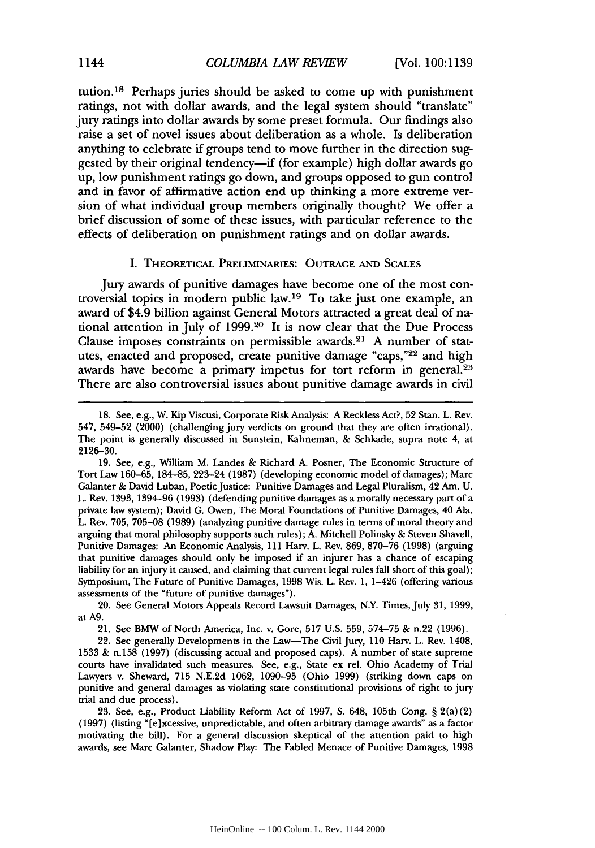tution.<sup>18</sup> Perhaps juries should be asked to come up with punishment ratings, not with dollar awards, and the legal system should "translate" jury ratings into dollar awards by some preset formula. Our findings also raise a set of novel issues about deliberation as a whole. Is deliberation anything to celebrate if groups tend to move further in the direction suggested by their original tendency-if (for example) high dollar awards go up, low punishment ratings go down, and groups opposed to gun control and in favor of affirmative action end up thinking a more extreme version of what individual group members originally thought? We offer a brief discussion of some of these issues, with particular reference to the effects of deliberation on punishment ratings and on dollar awards.

#### I. THEORETICAL PRELIMINARIES: OUTRAGE **AND** SCALES

Jury awards of punitive damages have become one of the most controversial topics in modem public law. 19 To take just one example, an award of \$4.9 billion against General Motors attracted a great deal of national attention in July of 1999.20 It is now clear that the Due Process Clause imposes constraints on permissible awards. 21 A number of statutes, enacted and proposed, create punitive damage "caps,"22 and high awards have become a primary impetus for tort reform in general.<sup>23</sup> There are also controversial issues about punitive damage awards in civil

21. See BMW of North America, Inc. v. Gore, 517 U.S. 559, 574-75 & n.22 (1996).

22. See generally Developments in the Law-The Civil Jury, **110** Harv. L. Rev. 1408, 1533 & n.158 (1997) (discussing actual and proposed caps). A number of state supreme courts have invalidated such measures. See, e.g., State ex rel. Ohio Academy of Trial Lawyers v. Sheward, 715 N.E.2d 1062, 1090-95 (Ohio 1999) (striking down caps on punitive and general damages as violating state constitutional provisions of right to jury trial and due process).

23. See, e.g., Product Liability Reform Act of 1997, S. 648, 105th Cong. § 2(a)(2) (1997) (listing "[e]xcessive, unpredictable, and often arbitrary damage awards" as a factor motivating the bill). For a general discussion skeptical of the attention paid to high awards, see Marc Galanter, Shadow Play: The Fabled Menace of Punitive Damages, 1998

<sup>18.</sup> See, e.g., W. Kip Viscusi, Corporate Risk Analysis: A Reckless Act?, 52 Stan. L. Rev. 547, 549-52 (2000) (challenging jury verdicts on ground that they are often irrational). The point is generally discussed in Sunstein, Kahneman, & Schkade, supra note 4, at 2126-30.

<sup>19.</sup> See, e.g., William M. Landes & Richard A. Posner, The Economic Structure of Tort Law 160-65, 184-85, 223-24 (1987) (developing economic model of damages); Marc Galanter & David Luban, Poetic Justice: Punitive Damages and Legal Pluralism, 42 Am. U. L. Rev. 1393, 1394-96 (1993) (defending punitive damages as a morally necessary part of a private law system); David **G.** Owen, The Moral Foundations of Punitive Damages, 40 Ala. L. Rev. 705, 705-08 (1989) (analyzing punitive damage rules in terms of moral theory and arguing that moral philosophy supports such rules); A. Mitchell Polinsky & Steven Shavell, Punitive Damages: An Economic Analysis, 111 Harv. L. Rev. 869, 870-76 (1998) (arguing that punitive damages should only be imposed if an injurer has a chance of escaping liability for an injury it caused, and claiming that current legal rules fall short of this goal); Symposium, The Future of Punitive Damages, 1998 Wis. L. Rev. 1, 1-426 (offering various assessments of the "future of punitive damages").

<sup>20.</sup> See General Motors Appeals Record Lawsuit Damages, N.Y. Times, July 31, 1999, at **A9.**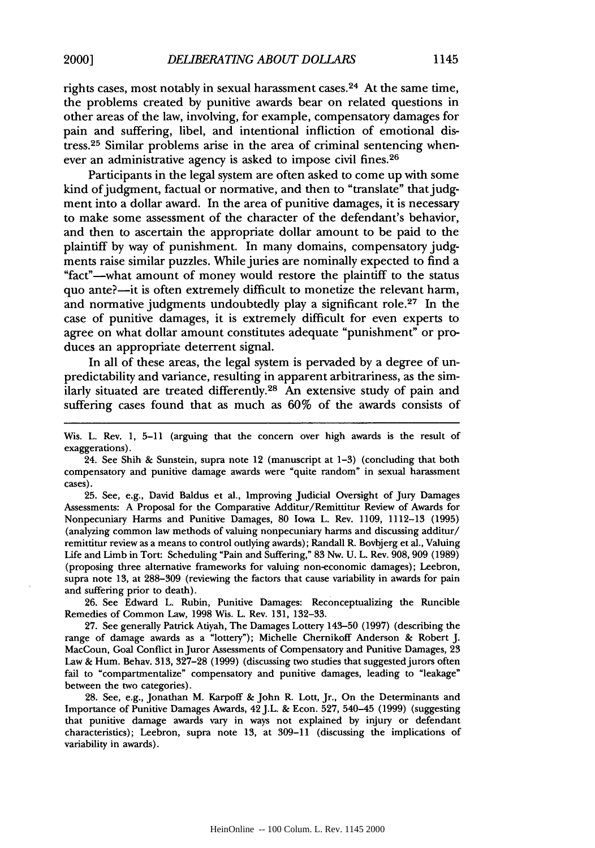rights cases, most notably in sexual harassment cases.<sup>24</sup> At the same time, the problems created by punitive awards bear on related questions in other areas of the law, involving, for example, compensatory damages for pain and suffering, libel, and intentional infliction of emotional distress. 25 Similar problems arise in the area of criminal sentencing whenever an administrative agency is asked to impose civil fines.<sup>26</sup>

Participants in the legal system are often asked to come up with some kind of judgment, factual or normative, and then to "translate" that judgment into a dollar award. In the area of punitive damages, it is necessary to make some assessment of the character of the defendant's behavior, and then to ascertain the appropriate dollar amount to be paid to the plaintiff by way of punishment. In many domains, compensatory judgments raise similar puzzles. While juries are nominally expected to find a "fact"—what amount of money would restore the plaintiff to the status quo ante?-it is often extremely difficult to monetize the relevant harm, and normative judgments undoubtedly play a significant role.<sup>27</sup> In the case of punitive damages, it is extremely difficult for even experts to agree on what dollar amount constitutes adequate "punishment" or produces an appropriate deterrent signal.

In all of these areas, the legal system is pervaded by a degree of unpredictability and variance, resulting in apparent arbitrariness, as the similarly situated are treated differently.<sup>28</sup> An extensive study of pain and suffering cases found that as much as 60% of the awards consists of

25. See, e.g., David Baldus et al., Improving Judicial Oversight of Jury Damages Assessments: A Proposal for the Comparative Additur/Remittitur Review of Awards for Nonpecuniary Harms and Punitive Damages, 80 Iowa L. Rev. 1109, 1112-13 (1995) (analyzing common law methods of valuing nonpecuniary harms and discussing additur/ remittitur review as a means to control outlying awards); Randall R. Bovbjerg et al., Valuing Life and Limb in Tort: Scheduling "Pain and Suffering," **83** Nw. U. L. Rev. **908, 909 (1989)** (proposing three alternative frameworks for valuing non-economic damages); Leebron, supra note 13, at **288-309** (reviewing the factors that cause variability in awards for pain and suffering prior to death).

26. See Edward L. Rubin, Punitive Damages: Reconceptualizing the Runcible Remedies of Common Law, 1998 Wis. L. Rev. 131, 132-33.

27. See generally Patrick Atiyah, The Damages Lottery 143-50 (1997) (describing the range of damage awards as a "lottery"); Michelle Chernikoff Anderson & Robert J. MacCoun, Goal Conflict in Juror Assessments of Compensatory and Punitive Damages, 23 Law & Hum. Behav. 313, 327-28 (1999) (discussing two studies that suggested jurors often fail to "compartmentalize" compensatory and punitive damages, leading to "leakage" between the two categories).

28. See, e.g., Jonathan M. Karpoff & John R. Lott, Jr., On the Determinants and Importance of Punitive Damages Awards, 42 J.L. & Econ. 527, 540-45 (1999) (suggesting that punitive damage awards vary in ways not explained by injury or defendant characteristics); Leebron, supra note 13, at 309-11 (discussing the implications of variability in awards).

Wis. L. Rev. 1, 5-11 (arguing that the concern over high awards is the result of exaggerations).

<sup>24.</sup> See Shih & Sunstein, supra note 12 (manuscript at 1-3) (concluding that both compensatory and punitive damage awards were "quite random" in sexual harassment cases).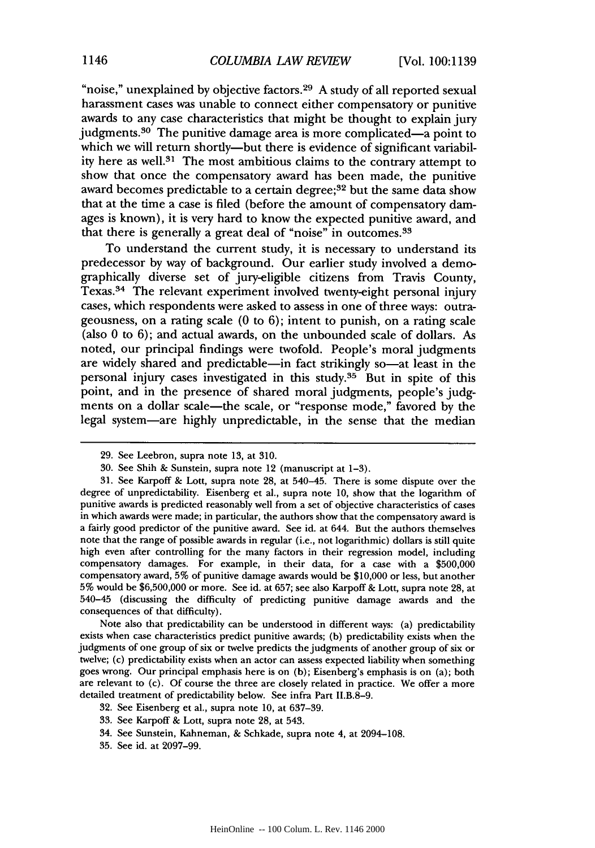"noise," unexplained **by** objective factors. 29 A study of all reported sexual harassment cases was unable to connect either compensatory or punitive awards to any case characteristics that might be thought to explain jury judgments. 30 The punitive damage area is more complicated-a point to which we will return shortly—but there is evidence of significant variability here as well.<sup>31</sup> The most ambitious claims to the contrary attempt to show that once the compensatory award has been made, the punitive award becomes predictable to a certain degree;<sup>32</sup> but the same data show that at the time a case is filed (before the amount of compensatory damages is known), it is very hard to know the expected punitive award, and that there is generally a great deal of "noise" in outcomes. <sup>33</sup>

To understand the current study, it is necessary to understand its predecessor **by** way of background. Our earlier study involved a demographically diverse set of jury-eligible citizens from Travis County, Texas. 34 The relevant experiment involved twenty-eight personal injury cases, which respondents were asked to assess in one of three ways: outrageousness, on a rating scale **(0** to **6);** intent to punish, on a rating scale (also **0** to **6);** and actual awards, on the unbounded scale of dollars. As noted, our principal findings were twofold. People's moral judgments are widely shared and predictable—in fact strikingly so—at least in the personal injury cases investigated in this study.35 But in spite of this point, and in the presence of shared moral judgments, people's **judg**ments on a dollar scale-the scale, or "response mode," favored **by** the legal system-are **highly** unpredictable, in the sense that the median

Note also that predictability can be understood in different ways: (a) predictability exists when case characteristics predict punitive awards; **(b)** predictability exists when the judgments of one group of six or twelve predicts the judgments of another group of six or twelve; (c) predictability exists when an actor can assess expected liability when something goes wrong. Our principal emphasis here is on (b); Eisenberg's emphasis is on (a); both<br>are relevant to (c). Of course the three are closely related in practice. We offer a more<br>detailed treatment of predictability below.

- 33. See Karpoff & Lott, supra note **28,** at 543.
- 34. See Sunstein, Kahneman, & Schkade, supra note 4, at 2094-108.
- 35. See id. at 2097-99.

**<sup>29.</sup>** See Leebron, supra note **13,** at **310.**

**<sup>30.</sup>** See Shih **&** Sunstein, supra note 12 (manuscript at **1-3).**

**<sup>31.</sup>** See Karpoff **&** Lott, supra note **28,** at 540-45. There is some dispute over the degree of unpredictability. Eisenberg et al., supra note **10,** show that the logarithm of punitive awards is predicted reasonably well from a set of objective characteristics of cases<br>in which awards were made; in particular, the authors show that the compensatory award is<br>a fairly good predictor of the punitiv note that the range of possible awards in regular (i.e., not logarithmic) dollars is still quite high even after controlling for the many factors in their regression model, including compensatory damages. For example, in their data, for a case with a **\$500,000** compensatory award, **5%** of punitive damage awards would be **\$10,000** or less, but another **5%** would be **\$6,500,000** or more. See id. at **657;** see also Karpoff& Lott, supra note **28,** at 540-45 (discussing the difficulty of predicting punitive damage awards and the consequences of that difficulty).

**<sup>32.</sup>** See Eisenberg et al., supra note **10,** at **637-39.**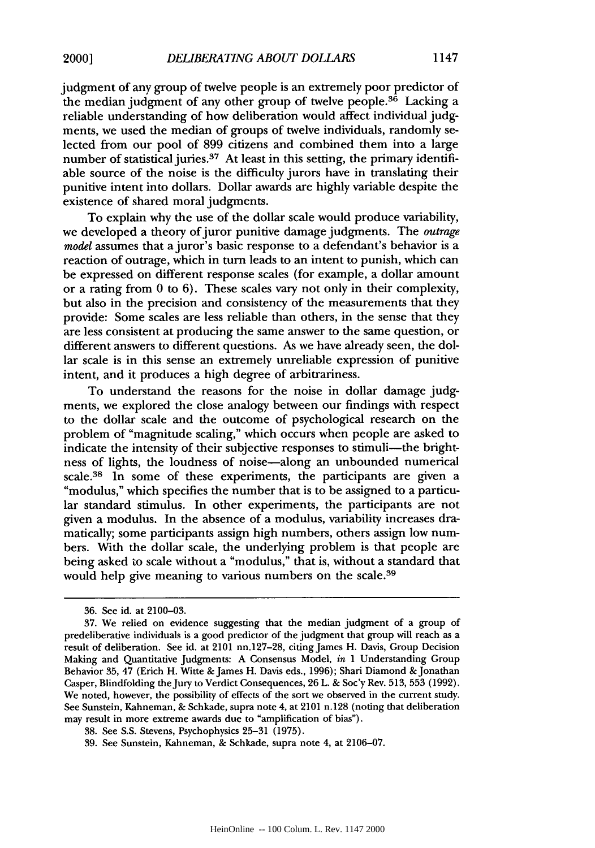judgment of any group of twelve people is an extremely poor predictor of the median judgment of any other group of twelve people. $36$  Lacking a reliable understanding of how deliberation would affect individual judgments, we used the median of groups of twelve individuals, randomly selected from our pool of 899 citizens and combined them into a large number of statistical juries.<sup>37</sup> At least in this setting, the primary identifiable source of the noise is the difficulty jurors have in translating their punitive intent into dollars. Dollar awards are highly variable despite the existence of shared moral judgments.

To explain why the use of the dollar scale would produce variability, we developed a theory of juror punitive damage judgments. The *outrage model* assumes that a juror's basic response to a defendant's behavior is a reaction of outrage, which in turn leads to an intent to punish, which can be expressed on different response scales (for example, a dollar amount or a rating from 0 to 6). These scales vary not only in their complexity, but also in the precision and consistency of the measurements that they provide: Some scales are less reliable than others, in the sense that they are less consistent at producing the same answer to the same question, or different answers to different questions. As we have already seen, the dollar scale is in this sense an extremely unreliable expression of punitive intent, and it produces a high degree of arbitrariness.

To understand the reasons for the noise in dollar damage judgments, we explored the close analogy between our findings with respect to the dollar scale and the outcome of psychological research on the problem of "magnitude scaling," which occurs when people are asked to indicate the intensity of their subjective responses to stimuli---the brightness of lights, the loudness of noise-along an unbounded numerical scale.38 In some of these experiments, the participants are given a "modulus," which specifies the number that is to be assigned to a particular standard stimulus. In other experiments, the participants are not given a modulus. In the absence of a modulus, variability increases dramatically; some participants assign high numbers, others assign low numbers. With the dollar scale, the underlying problem is that people are being asked to scale without a "modulus," that is, without a standard that would help give meaning to various numbers on the scale.<sup>39</sup>

<sup>36.</sup> See id. at 2100-03.

<sup>37.</sup> We relied on evidence suggesting that the median judgment of a group of predeliberative individuals is a good predictor of the judgment that group will reach as a result of deliberation. See id. at 2101 nn.127-28, citing James H. Davis, Group Decision Making and Quantitative Judgments: A Consensus Model, *in* 1 Understanding Group Behavior 35, 47 (Erich H. Witte & James H. Davis eds., 1996); Shari Diamond & Jonathan Casper, Blindfolding the jury to Verdict Consequences, 26 L. & Soc'y Rev. 513, 553 (1992). We noted, however, the possibility of effects of the sort we observed in the current study. See Sunstein, Kahneman, & Schkade, supra note 4, at 2101 n.128 (noting that deliberation may result in more extreme awards due to "amplification of bias").

<sup>38.</sup> See S.S. Stevens, Psychophysics 25-31 (1975).

<sup>39.</sup> See Sunstein, Kahneman, & Schkade, supra note 4, at 2106-07.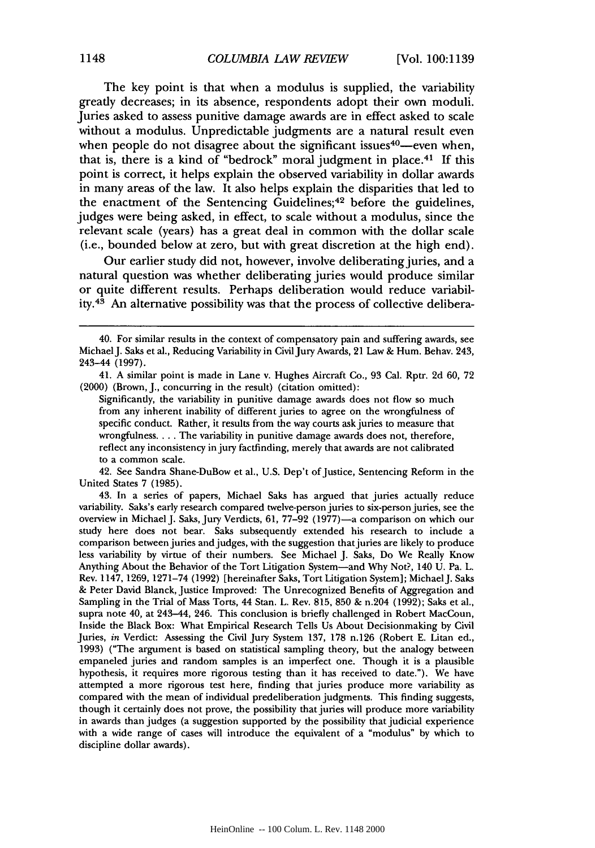The key point is that when a modulus is supplied, the variability greatly decreases; in its absence, respondents adopt their own moduli. Juries asked to assess punitive damage awards are in effect asked to scale without a modulus. Unpredictable judgments are a natural result even when people do not disagree about the significant issues<sup>40</sup>—even when, that is, there is a kind of "bedrock" moral judgment in place. 41 If this point is correct, it helps explain the observed variability in dollar awards in many areas of the law. It also helps explain the disparities that led to the enactment of the Sentencing Guidelines; 42 before the guidelines, judges were being asked, in effect, to scale without a modulus, since the relevant scale (years) has a great deal in common with the dollar scale (i.e., bounded below at zero, but with great discretion at the high end).

Our earlier study did not, however, involve deliberating juries, and a natural question was whether deliberating juries would produce similar or quite different results. Perhaps deliberation would reduce variability.<sup>43</sup> An alternative possibility was that the process of collective delibera-

42. See Sandra Shane-DuBow et al., U.S. Dep't of Justice, Sentencing Reform in the United States 7 (1985).

43. In a series of papers, Michael Saks has argued that juries actually reduce variability. Saks's early research compared twelve-person juries to six-person juries, see the overview in Michael J. Saks, Jury Verdicts, 61, 77-92 (1977)-a comparison on which our study here does not bear. Saks subsequently extended his research to include a comparison between juries and judges, with the suggestion that juries are likely to produce less variability by virtue of their numbers. See Michael J. Saks, Do We Really Know Anything About the Behavior of the Tort Litigation System-and Why Not?, 140 U. Pa. L. Rev. 1147, 1269, 1271-74 (1992) [hereinafter Saks, Tort Litigation System]; MichaelJ. Saks & Peter David Blanck, Justice Improved: The Unrecognized Benefits of Aggregation and Sampling in the Trial of Mass Torts, 44 Stan. L. Rev. 815, 850 & n.204 (1992); Saks et al., supra note 40, at 243-44, 246. This conclusion is briefly challenged in Robert MacCoun, Inside the Black Box: What Empirical Research Tells Us About Decisionmaking by Civil Juries, *in* Verdict: Assessing the Civil Jury System 137, 178 n.126 (Robert E. Litan ed., 1993) ("The argument is based on statistical sampling theory, but the analogy between empaneled juries and random samples is an imperfect one. Though it is a plausible hypothesis, it requires more rigorous testing than it has received to date."). We have attempted a more rigorous test here, finding that juries produce more variability as compared with the mean of individual predeliberation judgments. This finding suggests, though it certainly does not prove, the possibility that juries will produce more variability in awards than judges (a suggestion supported by the possibility that judicial experience with a wide range of cases will introduce the equivalent of a "modulus" by which to discipline dollar awards).

<sup>40.</sup> For similar results in the context of compensatory pain and suffering awards, see Michael J. Saks et al., Reducing Variability in Civil Jury Awards, 21 Law & Hum. Behav. 243, 243-44 (1997).

<sup>41.</sup> A similar point is made in Lane v. Hughes Aircraft Co., 93 Cal. Rptr. 2d 60, 72 (2000) (Brown, J., concurring in the result) (citation omitted):

Significantly, the variability in punitive damage awards does not flow so much from any inherent inability of different juries to agree on the wrongfulness of specific conduct. Rather, it results from the way courts ask juries to measure that wrongfulness.... The variability in punitive damage awards does not, therefore, reflect any inconsistency in jury factfinding, merely that awards are not calibrated to a common scale.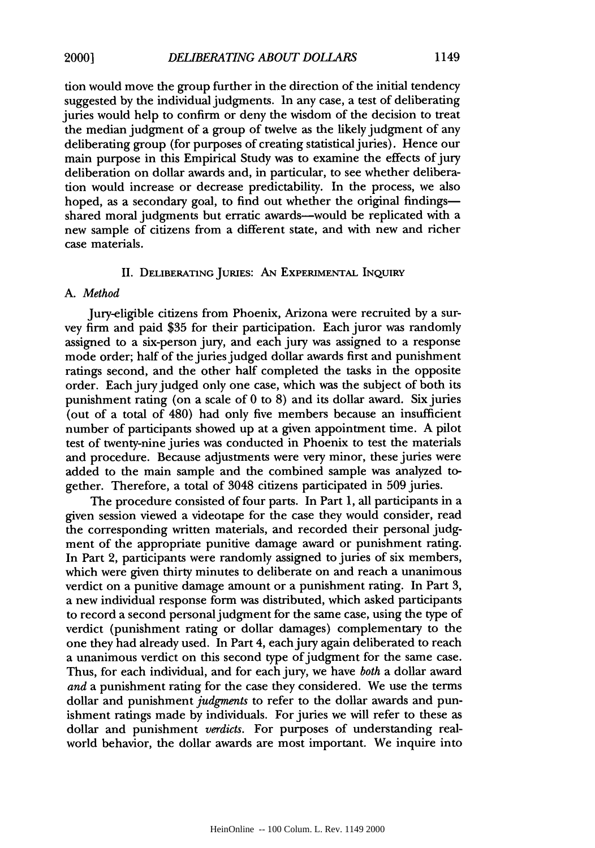tion would move the group further in the direction of the initial tendency suggested by the individual judgments. In any case, a test of deliberating juries would help to confirm or deny the wisdom of the decision to treat the median judgment of a group of twelve as the likely judgment of any deliberating group (for purposes of creating statistical juries). Hence our main purpose in this Empirical Study was to examine the effects of jury deliberation on dollar awards and, in particular, to see whether deliberation would increase or decrease predictability. In the process, we also hoped, as a secondary goal, to find out whether the original findingsshared moral judgments but erratic awards-would be replicated with a new sample of citizens from a different state, and with new and richer case materials.

## **II.** DELIBERATING **JURIES: AN EXPERIMENTAL INQUIRY**

#### *A. Method*

Jury-eligible citizens from Phoenix, Arizona were recruited **by** a survey firm and paid **\$35** for their participation. Each juror was randomly assigned to a six-person jury, and each jury was assigned to a response mode order; half of the juries judged dollar awards first and punishment ratings second, and the other half completed the tasks in the opposite order. Each jury judged only one case, which was the subject of both its punishment rating (on a scale of **0** to **8)** and its dollar award. Six juries (out of a total of 480) had only five members because an insufficient number of participants showed up at a given appointment time. **A** pilot test of twenty-nine juries was conducted in Phoenix to test the materials and procedure. Because adjustments were very minor, these juries were added to the main sample and the combined sample was analyzed together. Therefore, a total of 3048 citizens participated in **509** juries.

The procedure consisted of four parts. In Part **1,** all participants in a given session viewed a videotape for the case they would consider, read the corresponding written materials, and recorded their personal **judg**ment of the appropriate punitive damage award or punishment rating. In Part 2, participants were randomly assigned to juries of six members, which were given thirty minutes to deliberate on and reach a unanimous verdict on a punitive damage amount or a punishment rating. In Part **3,** a new individual response form was distributed, which asked participants to record a second personal judgment for the same case, using the type of verdict (punishment rating or dollar damages) complementary to the one they had already used. In Part 4, each jury again deliberated to reach a unanimous verdict on this second type of judgment for the same case. Thus, for each individual, and for each jury, we have *both* a dollar award *and* a punishment rating for the case they considered. We use the terms dollar and punishment *judgments* to refer to the dollar awards and punishment ratings made **by** individuals. For juries we will refer to these as dollar and punishment *verdicts.* For purposes of understanding realworld behavior, the dollar awards are most important. We inquire into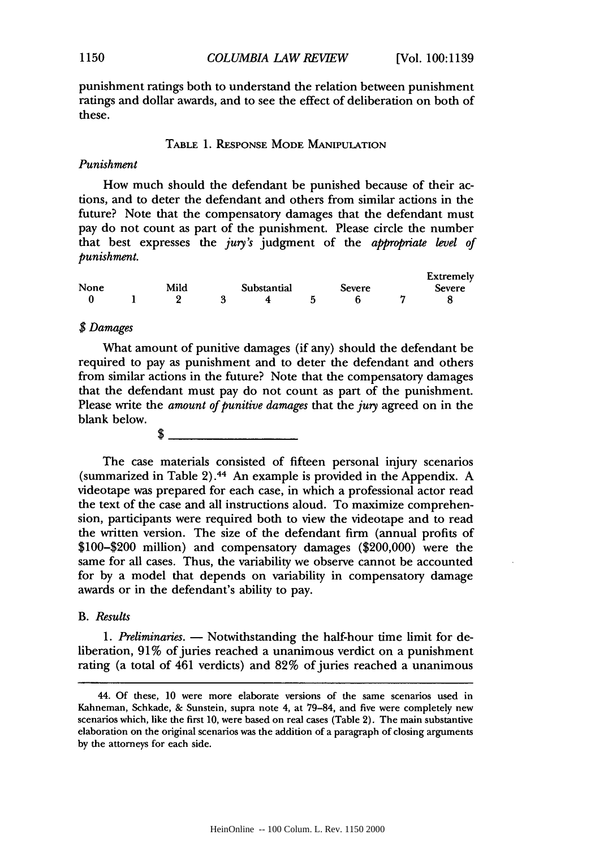punishment ratings both to understand the relation between punishment ratings and dollar awards, and to see the effect of deliberation on both of these.

## TABLE 1. RESPONSE MODE MANIPULATION

# *Punishment*

How much should the defendant be punished because of their actions, and to deter the defendant and others from similar actions in the future? Note that the compensatory damages that the defendant must pay do not count as part of the punishment. Please circle the number that best expresses the *jury's* judgment of the *appropriate level of punishment.*

|      |      |             |        | Extremely |
|------|------|-------------|--------|-----------|
| None | Mild | Substantial | Severe | Severe    |
|      |      |             |        |           |

## \$ *Damages*

\$

What amount of punitive damages (if any) should the defendant be required to pay as punishment and to deter the defendant and others from similar actions in the future? Note that the compensatory damages that the defendant must pay do not count as part of the punishment. Please write the *amount of punitive damages* that the *jury* agreed on in the blank below.

The case materials consisted of fifteen personal injury scenarios (summarized in Table 2).44 An example is provided in the Appendix. A videotape was prepared for each case, in which a professional actor read the text of the case and all instructions aloud. To maximize comprehension, participants were required both to view the videotape and to read the written version. The size of the defendant firm (annual profits of \$100-\$200 million) and compensatory damages (\$200,000) were the same for all cases. Thus, the variability we observe cannot be accounted for by a model that depends on variability in compensatory damage awards or in the defendant's ability to pay.

## *B. Results*

*1. Preliminaries.* **-** Notwithstanding the half-hour time limit for deliberation, 91% of juries reached a unanimous verdict on a punishment rating (a total of 461 verdicts) and 82% of juries reached a unanimous

<sup>44.</sup> Of these, 10 were more elaborate versions of the same scenarios used in Kahneman, Schkade, & Sunstein, supra note 4, at 79-84, and five were completely new scenarios which, like the first 10, were based on real cases (Table 2). The main substantive elaboration on the original scenarios was the addition of a paragraph of closing arguments by the attorneys for each side.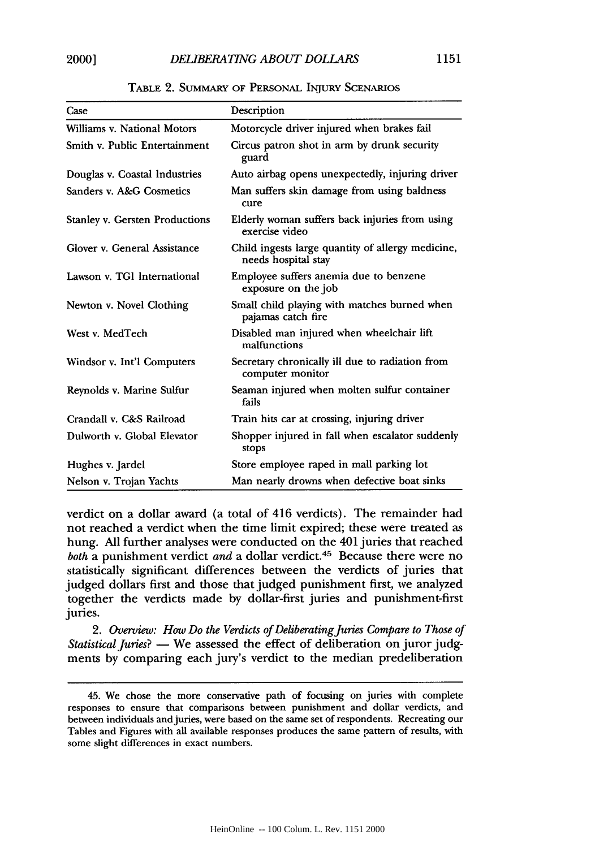**Case** 

| OF PERSONAL INJURY SCENARIOS                         |  |  |  |  |  |  |
|------------------------------------------------------|--|--|--|--|--|--|
| Description                                          |  |  |  |  |  |  |
| Motorcycle driver injured when brakes fail           |  |  |  |  |  |  |
| Circus patron shot in arm by drunk security<br>guard |  |  |  |  |  |  |
| .                                                    |  |  |  |  |  |  |

TABLE 2. SUMMARY OF PERSON

| Williams v. National Motors           | Motorcycle driver injured when brakes fail                               |
|---------------------------------------|--------------------------------------------------------------------------|
| Smith v. Public Entertainment         | Circus patron shot in arm by drunk security<br>guard                     |
| Douglas v. Coastal Industries         | Auto airbag opens unexpectedly, injuring driver                          |
| Sanders v. A&G Cosmetics              | Man suffers skin damage from using baldness<br>cure                      |
| <b>Stanley v. Gersten Productions</b> | Elderly woman suffers back injuries from using<br>exercise video         |
| Glover v. General Assistance          | Child ingests large quantity of allergy medicine,<br>needs hospital stay |
| Lawson v. TG1 International           | Employee suffers anemia due to benzene<br>exposure on the job            |
| Newton v. Novel Clothing              | Small child playing with matches burned when<br>pajamas catch fire       |
| West v. MedTech                       | Disabled man injured when wheelchair lift<br>malfunctions                |
| Windsor v. Int'l Computers            | Secretary chronically ill due to radiation from<br>computer monitor      |
| Reynolds v. Marine Sulfur             | Seaman injured when molten sulfur container<br>fails                     |
| Crandall v. C&S Railroad              | Train hits car at crossing, injuring driver                              |
| Dulworth v. Global Elevator           | Shopper injured in fall when escalator suddenly<br>stops                 |
| Hughes v. Jardel                      | Store employee raped in mall parking lot                                 |
| Nelson v. Trojan Yachts               | Man nearly drowns when defective boat sinks                              |

verdict on a dollar award (a total of 416 verdicts). The remainder had not reached a verdict when the time limit expired; these were treated as hung. **All** further analyses were conducted on the 401 juries that reached *both* a punishment verdict *and* a dollar verdict.45 Because there were no statistically significant differences between the verdicts of juries that judged dollars first and those that judged punishment first, we analyzed together the verdicts made **by** dollar-first juries and punishment-first juries.

2. Overview: How Do the Verdicts of Deliberating Juries Compare to Those of *Statistical Juries?* **-** We assessed the effect of deliberation on juror **judg**ments **by** comparing each jury's verdict to the median predeliberation

<sup>45.</sup> We chose the more conservative path of focusing on juries with complete responses to ensure that comparisons between punishment and dollar verdicts, and between individuals and juries, were based on the same set of respondents. Recreating our Tables and Figures with all available responses produces the same pattern of results, with some slight differences in exact numbers.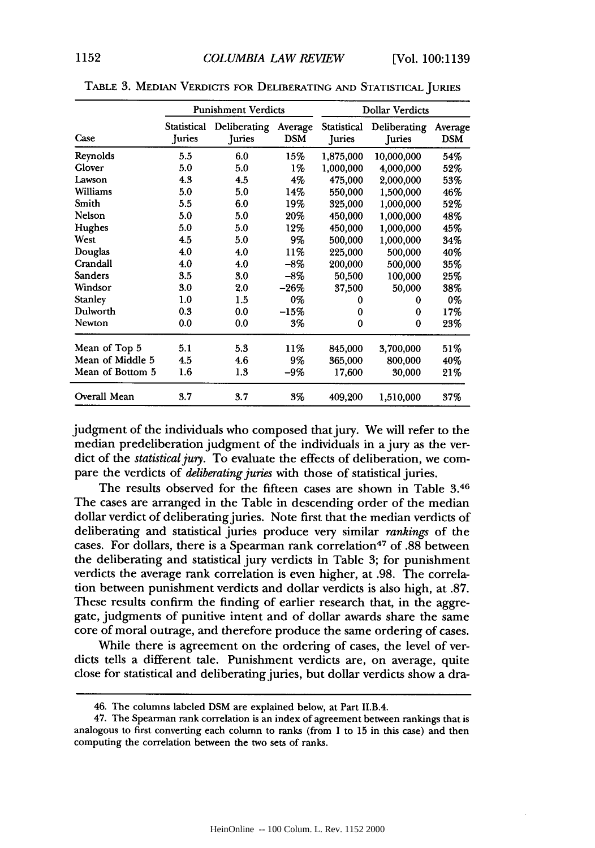|                  |                       | <b>Punishment Verdicts</b> | <b>Dollar Verdicts</b> |                       |                        |                       |
|------------------|-----------------------|----------------------------|------------------------|-----------------------|------------------------|-----------------------|
| Case             | Statistical<br>Juries | Deliberating<br>Juries     | Average<br><b>DSM</b>  | Statistical<br>Juries | Deliberating<br>Juries | Average<br><b>DSM</b> |
| Reynolds         | 5.5                   | 6.0                        | 15%                    | 1,875,000             | 10,000,000             | 54%                   |
| Glover           | 5.0                   | 5.0                        | $1\%$                  | 1,000,000             | 4,000,000              | 52%                   |
| Lawson           | 4.3                   | 4.5                        | 4%                     | 475,000               | 2,000,000              | 53%                   |
| Williams         | 5.0                   | 5.0                        | 14%                    | 550,000               | 1,500,000              | 46%                   |
| Smith            | 5.5                   | 6.0                        | 19%                    | 325,000               | 1,000,000              | 52%                   |
| Nelson           | 5.0                   | 5.0                        | 20%                    | 450,000               | 1,000,000              | 48%                   |
| Hughes           | 5.0                   | 5.0                        | 12%                    | 450,000               | 1,000,000              | 45%                   |
| West             | 4.5                   | 5.0                        | 9%                     | 500,000               | 1,000,000              | 34%                   |
| Douglas          | 4.0                   | 4.0                        | 11%                    | 225,000               | 500,000                | 40%                   |
| Crandall         | 4.0                   | 4.0                        | -8%                    | 200,000               | 500,000                | 35%                   |
| Sanders          | 3.5                   | 3.0                        | -8%                    | 50,500                | 100,000                | 25%                   |
| Windsor          | 3.0                   | 2.0                        | -26%                   | 37,500                | 50,000                 | 38%                   |
| Stanley          | 1.0                   | 1.5                        | 0%                     | 0                     | 0                      | 0%                    |
| Dulworth         | 0.3                   | 0.0                        | -15%                   | 0                     | 0                      | 17%                   |
| Newton           | 0.0                   | 0.0                        | 3%                     | $\bf{0}$              | 0                      | 23%                   |
| Mean of Top 5    | 5.1                   | 5.3                        | 11%                    | 845,000               | 3,700,000              | 51%                   |
| Mean of Middle 5 | 4.5                   | 4.6                        | 9%                     | 365,000               | 800,000                | 40%                   |
| Mean of Bottom 5 | 1.6                   | 1.3                        | -9%                    | 17,600                | 30,000                 | 21%                   |
| Overall Mean     | 3.7                   | 3.7                        | 3%                     | 409,200               | 1,510,000              | 37%                   |

TABLE 3. MEDIAN VERDICTS FOR DELIBERATING AND STATISTICAL JURIES

judgment of the individuals who composed that jury. We will refer to the median predeliberation judgment of the individuals in a jury as the verdict of the *statistical jury.* To evaluate the effects of deliberation, we compare the verdicts of *deliberating juries* with those of statistical juries.

The results observed for the fifteen cases are shown in Table 3.46 The cases are arranged in the Table in descending order of the median dollar verdict of deliberating juries. Note first that the median verdicts of deliberating and statistical juries produce very similar *rankings* of the cases. For dollars, there is a Spearman rank correlation 47 of .88 between the deliberating and statistical jury verdicts in Table 3; for punishment verdicts the average rank correlation is even higher, at .98. The correlation between punishment verdicts and dollar verdicts is also high, at .87. These results confirm the finding of earlier research that, in the aggregate, judgments of punitive intent and of dollar awards share the same core of moral outrage, and therefore produce the same ordering of cases.

While there is agreement on the ordering of cases, the level of verdicts tells a different tale. Punishment verdicts are, on average, quite close for statistical and deliberating juries, but dollar verdicts show a dra-

<sup>46.</sup> The columns labeled DSM are explained below, at Part II.B.4.

<sup>47.</sup> The Spearman rank correlation is an index of agreement between rankings that is analogous to first converting each column to ranks (from **I** to 15 in this case) and then computing the correlation between the two sets of ranks.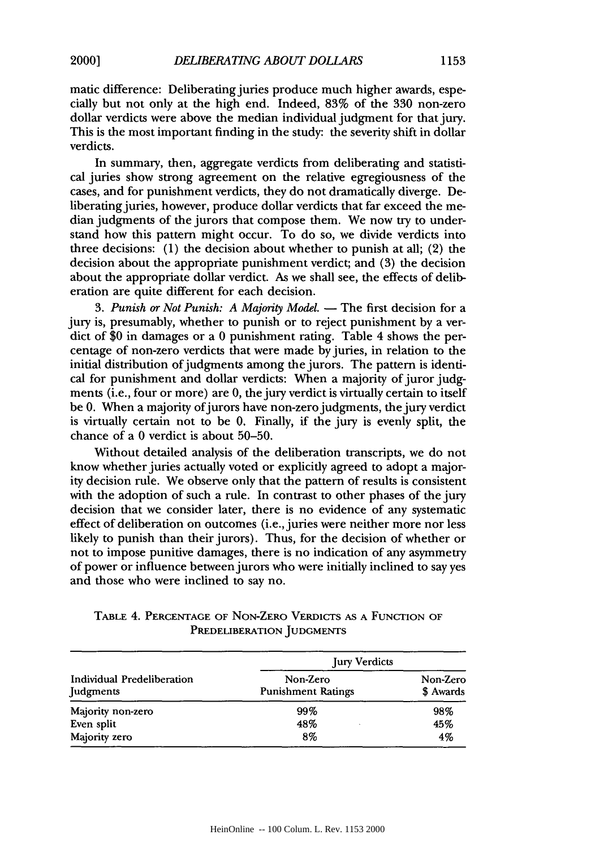matic difference: Deliberating juries produce much higher awards, especially but not only at the high end. Indeed, 83% of the 330 non-zero dollar verdicts were above the median individual judgment for that jury. This is the most important finding in the study: the severity shift in dollar verdicts.

In summary, then, aggregate verdicts from deliberating and statistical juries show strong agreement on the relative egregiousness of the cases, and for punishment verdicts, they do not dramatically diverge. Deliberating juries, however, produce dollar verdicts that far exceed the median judgments of the jurors that compose them. We now try to understand how this pattern might occur. To do so, we divide verdicts into three decisions: (1) the decision about whether to punish at all; (2) the decision about the appropriate punishment verdict; and (3) the decision about the appropriate dollar verdict. As we shall see, the effects of deliberation are quite different for each decision.

3. *Punish or Not Punish: A Majority Model.* **-** The first decision for a jury is, presumably, whether to punish or to reject punishment by a verdict of \$0 in damages or a 0 punishment rating. Table 4 shows the percentage of non-zero verdicts that were made by juries, in relation to the initial distribution of judgments among the jurors. The pattern is identical for punishment and dollar verdicts: When a majority of juror judgments (i.e., four or more) are 0, the jury verdict is virtually certain to itself be 0. When a majority of jurors have non-zero judgments, the jury verdict is virtually certain not to be 0. Finally, if the jury is evenly split, the chance of a 0 verdict is about 50-50.

Without detailed analysis of the deliberation transcripts, we do not know whether juries actually voted or explicitly agreed to adopt a majority decision rule. We observe only that the pattern of results is consistent with the adoption of such a rule. In contrast to other phases of the jury decision that we consider later, there is no evidence of any systematic effect of deliberation on outcomes (i.e., juries were neither more nor less likely to punish than their jurors). Thus, for the decision of whether or not to impose punitive damages, there is no indication of any asymmetry of power or influence between jurors who were initially inclined to say yes and those who were inclined to say no.

| PREDELIBERATION JUDGMENTS |  |  |                              |  |  |  |
|---------------------------|--|--|------------------------------|--|--|--|
|                           |  |  |                              |  |  |  |
|                           |  |  | $T_{22} = 5T_{22} + 4T_{22}$ |  |  |  |

TABLE 4. **PERCENTAGE** OF NON-ZERO VERDICTS **AS A FUNCTION** OF

|                                         | <b>Jury Verdicts</b>                  |                       |  |
|-----------------------------------------|---------------------------------------|-----------------------|--|
| Individual Predeliberation<br>Judgments | Non-Zero<br><b>Punishment Ratings</b> | Non-Zerc<br>\$ Awards |  |
| Majority non-zero                       | 99%                                   | 98%                   |  |
| Even split                              | 48%                                   | 45%                   |  |
| Majority zero                           | 8%                                    | 4%                    |  |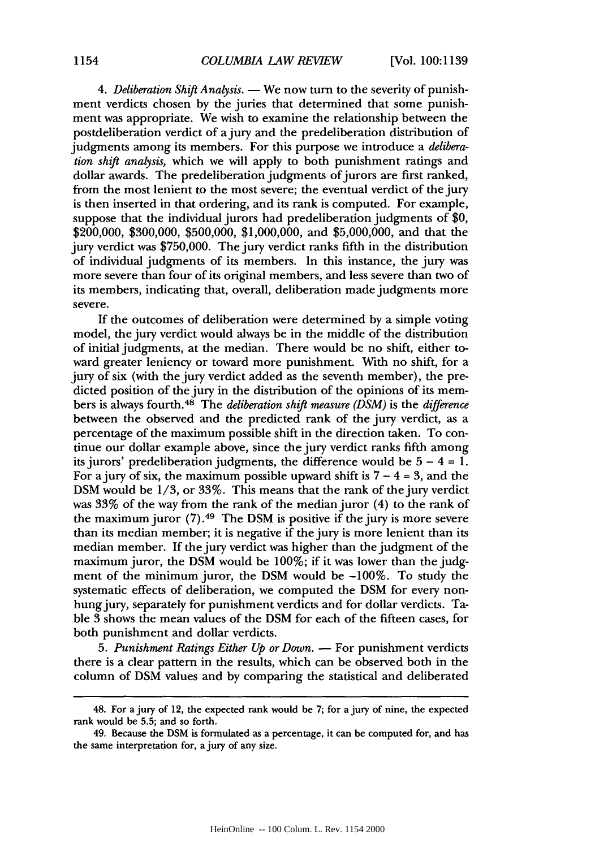4. *Deliberation Shift Analysis.* — We now turn to the severity of punishment verdicts chosen by the juries that determined that some punishment was appropriate. We wish to examine the relationship between the postdeliberation verdict of a jury and the predeliberation distribution of judgments among its members. For this purpose we introduce a *deliberation shift analysis,* which we will apply to both punishment ratings and dollar awards. The predeliberation judgments of jurors are first ranked, from the most lenient to the most severe; the eventual verdict of the jury is then inserted in that ordering, and its rank is computed. For example, suppose that the individual jurors had predeliberation judgments of \$0, \$200,000, \$300,000, \$500,000, \$1,000,000, and \$5,000,000, and that the jury verdict was \$750,000. The jury verdict ranks fifth in the distribution of individual judgments of its members. In this instance, the jury was more severe than four of its original members, and less severe than two of its members, indicating that, overall, deliberation made judgments more severe.

If the outcomes of deliberation were determined by a simple voting model, the jury verdict would always be in the middle of the distribution of initial judgments, at the median. There would be no shift, either toward greater leniency or toward more punishment. With no shift, for a jury of six (with the jury verdict added as the seventh member), the predicted position of the jury in the distribution of the opinions of its members is always fourth.48 The *deliberation shift measure (DSM)* is the *difference* between the observed and the predicted rank of the jury verdict, as a percentage of the maximum possible shift in the direction taken. To continue our dollar example above, since the jury verdict ranks fifth among its jurors' predeliberation judgments, the difference would be  $5 - 4 = 1$ . For a jury of six, the maximum possible upward shift is  $7 - 4 = 3$ , and the DSM would be 1/3, or 33%. This means that the rank of the jury verdict was 33% of the way from the rank of the median juror (4) to the rank of the maximum juror  $(7).49$  The DSM is positive if the jury is more severe than its median member; it is negative if the jury is more lenient than its median member. If the jury verdict was higher than the judgment of the maximum juror, the DSM would be 100%; if it was lower than the judgment of the minimum juror, the DSM would be -100%. To study the systematic effects of deliberation, we computed the DSM for every nonhung jury, separately for punishment verdicts and for dollar verdicts. Table 3 shows the mean values of the DSM for each of the fifteen cases, for both punishment and dollar verdicts.

5. *Punishment Ratings Either Up or Down*. **-** For punishment verdicts there is a clear pattern in the results, which can be observed both in the column of DSM values and by comparing the statistical and deliberated

<sup>48.</sup> For a jury of 12, the expected rank would be 7; for a jury of nine, the expected rank would be 5.5; and so forth.

<sup>49.</sup> Because the DSM is formulated as a percentage, it can be computed for, and has the same interpretation for, a jury of any size.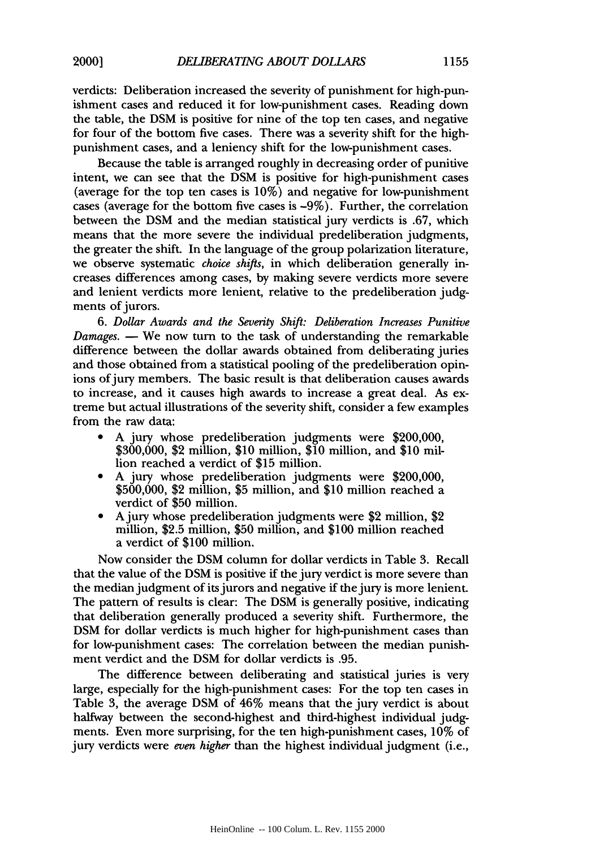verdicts: Deliberation increased the severity of punishment for high-punishment cases and reduced it for low-punishment cases. Reading down the table, the DSM is positive for nine of the top ten cases, and negative for four of the bottom five cases. There was a severity shift for the highpunishment cases, and a leniency shift for the low-punishment cases.

Because the table is arranged roughly in decreasing order of punitive intent, we can see that the DSM is positive for high-punishment cases (average for the top ten cases is 10%) and negative for low-punishment cases (average for the bottom five cases is  $-9\%$ ). Further, the correlation between the DSM and the median statistical jury verdicts is .67, which means that the more severe the individual predeliberation judgments, the greater the shift. In the language of the group polarization literature, we observe systematic *choice shifts,* in which deliberation generally increases differences among cases, by making severe verdicts more severe and lenient verdicts more lenient, relative to the predeliberation judgments of jurors.

6. *Dollar Awards and the Severity Shift: Deliberation Increases Punitive Damages.* **-** We now turn to the task of understanding the remarkable difference between the dollar awards obtained from deliberating juries and those obtained from a statistical pooling of the predeliberation opinions of jury members. The basic result is that deliberation causes awards to increase, and it causes high awards to increase a great deal. As extreme but actual illustrations of the severity shift, consider a few examples from the raw data:

- **"** A jury whose predeliberation judgments were \$200,000, \$300,000, \$2 million, \$10 million, \$10 million, and \$10 million reached a verdict of \$15 million.
- **"** A jury whose predeliberation judgments were \$200,000, \$500,000, \$2 million, \$5 million, and \$10 million reached a verdict of \$50 million.
- **"** A jury whose predeliberation judgments were \$2 million, \$2 million, \$2.5 million, \$50 million, and \$100 million reached a verdict of \$100 million.

Now consider the DSM column for dollar verdicts in Table 3. Recall that the value of the DSM is positive if the jury verdict is more severe than the median judgment of its jurors and negative if the jury is more lenient. The pattern of results is clear: The DSM is generally positive, indicating that deliberation generally produced a severity shift. Furthermore, the DSM for dollar verdicts is much higher for high-punishment cases than for low-punishment cases: The correlation between the median punishment verdict and the DSM for dollar verdicts is .95.

The difference between deliberating and statistical juries is very large, especially for the high-punishment cases: For the top ten cases in Table 3, the average DSM of 46% means that the jury verdict is about halfway between the second-highest and third-highest individual judgments. Even more surprising, for the ten high-punishment cases, 10% of jury verdicts were *even higher* than the highest individual judgment (i.e.,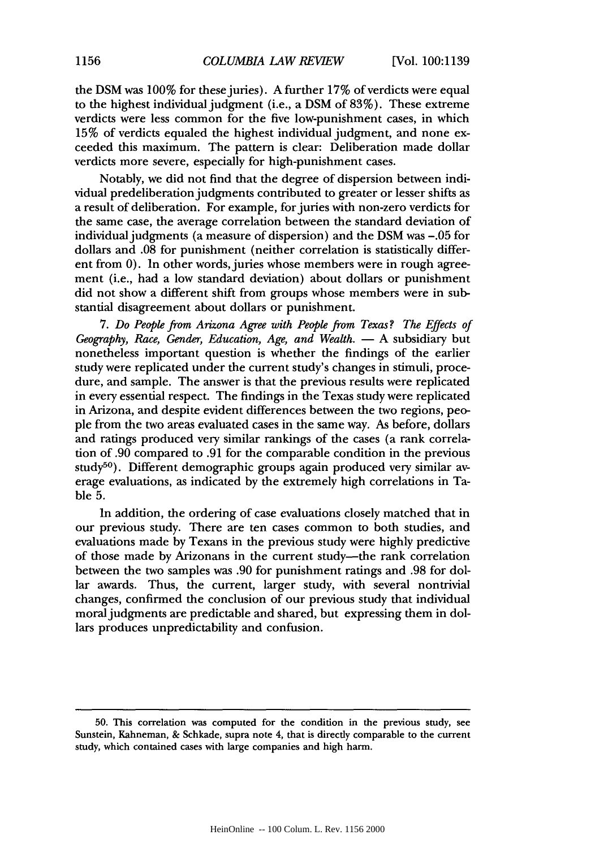the **DSM** was 100% for thesejuries). **A** further **17%** of verdicts were equal to the highest individual judgment (i.e., a DSM of 83%). These extreme verdicts were less common for the five low-punishment cases, in which 15% of verdicts equaled the highest individual judgment, and none exceeded this maximum. The pattern is clear: Deliberation made dollar verdicts more severe, especially for high-punishment cases.

Notably, we did not find that the degree of dispersion between individual predeliberation judgments contributed to greater or lesser shifts as a result of deliberation. For example, for juries with non-zero verdicts for the same case, the average correlation between the standard deviation of individual judgments (a measure of dispersion) and the DSM was -. 05 for dollars and .08 for punishment (neither correlation is statistically different from 0). In other words, juries whose members were in rough agreement (i.e., had a low standard deviation) about dollars or punishment did not show a different shift from groups whose members were in substantial disagreement about dollars or punishment.

7. *Do People from Arizona Agree with People from Texas? The Effects of Geography, Race, Gender, Education, Age, and Wealth.* - A subsidiary but nonetheless important question is whether the findings of the earlier study were replicated under the current study's changes in stimuli, procedure, and sample. The answer is that the previous results were replicated in every essential respect. The findings in the Texas study were replicated in Arizona, and despite evident differences between the two regions, people from the two areas evaluated cases in the same way. As before, dollars and ratings produced very similar rankings of the cases (a rank correlation of .90 compared to .91 for the comparable condition in the previous study<sup>50</sup>). Different demographic groups again produced very similar average evaluations, as indicated by the extremely high correlations in Table 5.

In addition, the ordering of case evaluations closely matched that in our previous study. There are ten cases common to both studies, and evaluations made by Texans in the previous study were highly predictive of those made by Arizonans in the current study-the rank correlation between the two samples was .90 for punishment ratings and .98 for dollar awards. Thus, the current, larger study, with several nontrivial changes, confirmed the conclusion of our previous study that individual moral judgments are predictable and shared, but expressing them in dollars produces unpredictability and confusion.

**<sup>50.</sup>** This correlation was computed for the condition in the previous study, see Sunstein, Kahneman, & Schkade, supra note 4, that is directly comparable to the current study, which contained cases with large companies and high harm.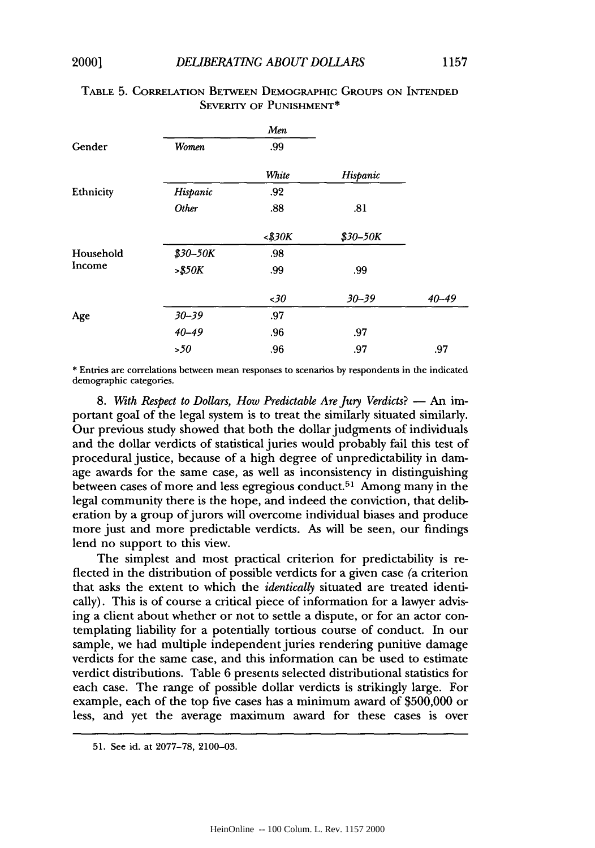|           |             | Men     |             |           |
|-----------|-------------|---------|-------------|-----------|
| Gender    | Women       | .99     |             |           |
|           |             | White   | Hispanic    |           |
| Ethnicity | Hispanic    | .92     |             |           |
|           | Other       | .88     | .81         |           |
|           |             | < \$30K | $$30 - 50K$ |           |
| Household | $$30 - 50K$ | .98     |             |           |
| Income    | > \$50K     | .99     | .99         |           |
|           |             | 50      | $30 - 39$   | $40 - 49$ |
| Age       | $30 - 39$   | .97     |             |           |
|           | $40 - 49$   | .96     | .97         |           |
|           | >50         | .96     | .97         | .97       |

# TABLE 5. CORRELATION BETWEEN DEMOGRAPHIC GROUPS ON INTENDED SEVERITY OF PUNISHMENT\*

\* Entries are correlations between mean responses to scenarios by respondents in the indicated demographic categories.

*8. With Respect to Dollars, How Predictable Are Jury Verdicts?* **-** An important goal of the legal system is to treat the similarly situated similarly. Our previous study showed that both the dollar judgments of individuals and the dollar verdicts of statistical juries would probably fail this test of procedural justice, because of a high degree of unpredictability in damage awards for the same case, as well as inconsistency in distinguishing between cases of more and less egregious conduct.<sup>51</sup> Among many in the legal community there is the hope, and indeed the conviction, that deliberation by a group of jurors will overcome individual biases and produce more just and more predictable verdicts. As will be seen, our findings lend no support to this view.

The simplest and most practical criterion for predictability is reflected in the distribution of possible verdicts for a given case (a criterion that asks the extent to which the *identically* situated are treated identically). This is of course a critical piece of information for a lawyer advising a client about whether or not to settle a dispute, or for an actor contemplating liability for a potentially tortious course of conduct. In our sample, we had multiple independent juries rendering punitive damage verdicts for the same case, and this information can be used to estimate verdict distributions. Table 6 presents selected distributional statistics for each case. The range of possible dollar verdicts is strikingly large. For example, each of the top five cases has a minimum award of \$500,000 or less, and yet the average maximum award for these cases is over

**<sup>51.</sup>** See id. at 2077-78, 2100-03.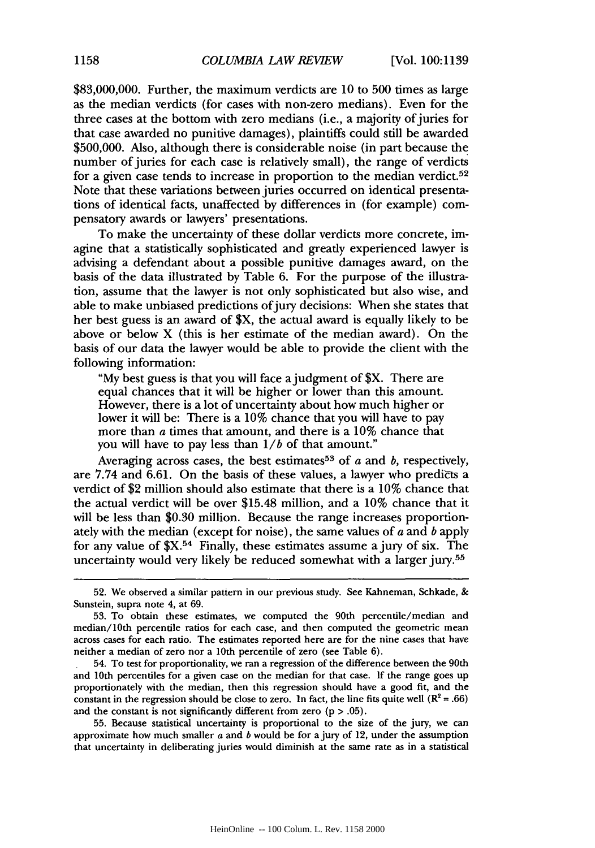\$83,000,000. Further, the maximum verdicts are 10 to **500** times as large as the median verdicts (for cases with non-zero medians). Even for the three cases at the bottom with zero medians (i.e., a majority of juries for that case awarded no punitive damages), plaintiffs could still be awarded \$500,000. Also, although there is considerable noise (in part because the number of juries for each case is relatively small), the range of verdicts for a given case tends to increase in proportion to the median verdict.<sup>52</sup> Note that these variations between juries occurred on identical presentations of identical facts, unaffected by differences in (for example) compensatory awards or lawyers' presentations.

To make the uncertainty of these dollar verdicts more concrete, imagine that a statistically sophisticated and greatly experienced lawyer is advising a defendant about a possible punitive damages award, on the basis of the data illustrated by Table 6. For the purpose of the illustration, assume that the lawyer is not only sophisticated but also wise, and able to make unbiased predictions of jury decisions: When she states that her best guess is an award of \$X, the actual award is equally likely to be above or below X (this is her estimate of the median award). On the basis of our data the lawyer would be able to provide the client with the following information:

"My best guess is that you will face a judgment of \$X. There are equal chances that it will be higher or lower than this amount. However, there is a lot of uncertainty about how much higher or lower it will be: There is a 10% chance that you will have to pay more than a times that amount, and there is a 10% chance that you will have to pay less than *1/b* of that amount."

Averaging across cases, the best estimates<sup>53</sup> of  $a$  and  $b$ , respectively, are 7.74 and 6.61. On the basis of these values, a lawyer who predicts a verdict of \$2 million should also estimate that there is a 10% chance that the actual verdict will be over \$15.48 million, and a 10% chance that it will be less than \$0.30 million. Because the range increases proportionately with the median (except for noise), the same values of a and *b* apply for any value of  $X<sup>54</sup>$  Finally, these estimates assume a jury of six. The uncertainty would very likely be reduced somewhat with a larger jury.55

55. Because statistical uncertainty is proportional to the size of the jury, we can approximate how much smaller  $a$  and  $b$  would be for a jury of 12, under the assumption that uncertainty in deliberating juries would diminish at the same rate as in a statistical

<sup>52.</sup> We observed a similar pattern in our previous study. See Kahneman, Schkade, & Sunstein, supra note 4, at 69.

<sup>53.</sup> To obtain these estimates, we computed the 90th percentile/median and median/10th percentile ratios for each case, and then computed the geometric mean across cases for each ratio. The estimates reported here are for the nine cases that have neither a median of zero nor a 10th percentile of zero (see Table 6).

<sup>54.</sup> To test for proportionality, we ran a regression of the difference between the 90th and 10th percentiles for a given case on the median for that case. If the range goes up proportionately with the median, then this regression should have a good fit, and the constant in the regression should be close to zero. In fact, the line fits quite well  $(R^2 = .66)$ and the constant is not significantly different from zero  $(p > .05)$ .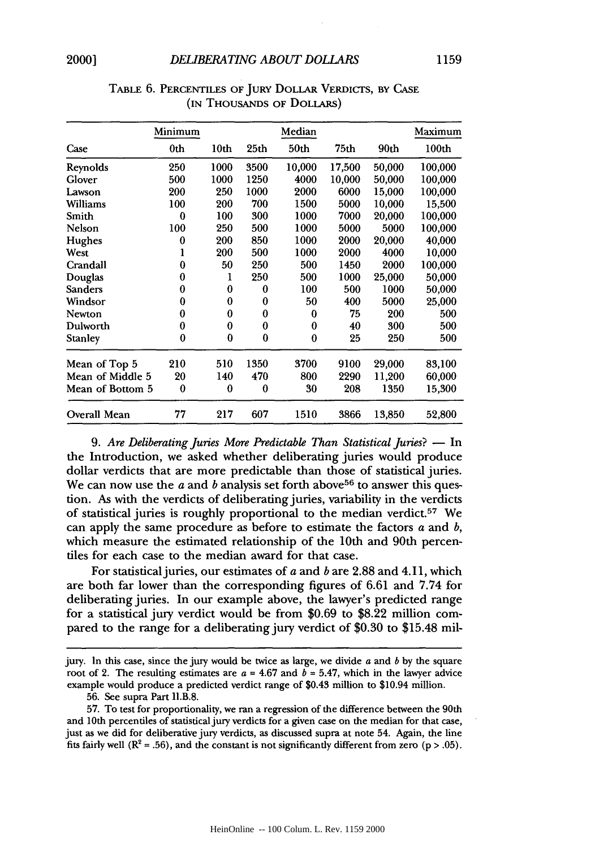|                  | Minimum |                  |      | Median           |        |        | Maximum |
|------------------|---------|------------------|------|------------------|--------|--------|---------|
| Case             | 0th     | 10 <sub>th</sub> | 25th | 50 <sub>th</sub> | 75th   | 90th   | 100th   |
| Reynolds         | 250     | 1000             | 3500 | 10,000           | 17,500 | 50,000 | 100,000 |
| Glover           | 500     | 1000             | 1250 | 4000             | 10,000 | 50,000 | 100,000 |
| Lawson           | 200     | 250              | 1000 | 2000             | 6000   | 15,000 | 100,000 |
| Williams         | 100     | 200              | 700  | 1500             | 5000   | 10.000 | 15,500  |
| Smith            | 0       | 100              | 300  | 1000             | 7000   | 20,000 | 100,000 |
| Nelson           | 100     | 250              | 500  | 1000             | 5000   | 5000   | 100,000 |
| Hughes           | 0       | 200              | 850  | 1000             | 2000   | 20,000 | 40,000  |
| West             | 1       | 200              | 500  | 1000             | 2000   | 4000   | 10,000  |
| Crandall         | 0       | 50               | 250  | 500              | 1450   | 2000   | 100,000 |
| Douglas          | 0       | 1                | 250  | 500              | 1000   | 25,000 | 50,000  |
| <b>Sanders</b>   | 0       | 0                | 0    | 100              | 500    | 1000   | 50,000  |
| Windsor          | 0       | 0                | 0    | 50               | 400    | 5000   | 25,000  |
| Newton           | 0       | 0                | 0    | 0                | 75     | 200    | 500     |
| Dulworth         | 0       | 0                | 0    | 0                | 40     | 300    | 500     |
| Stanley          | 0       | 0                | 0    | $\bf{0}$         | 25     | 250    | 500     |
| Mean of Top 5    | 210     | 510              | 1350 | 3700             | 9100   | 29,000 | 83,100  |
| Mean of Middle 5 | 20      | 140              | 470  | 800              | 2290   | 11,200 | 60,000  |
| Mean of Bottom 5 | 0       | 0                | 0    | 30               | 208    | 1350   | 15,300  |
| Overall Mean     | 77      | 217              | 607  | 1510             | 3866   | 13,850 | 52,800  |

# TABLE 6. PERCENTILES OF JURY DOLLAR VERDICTS, BY CASE **(IN** THOUSANDS OF DOLLARS)

*9. Are Deliberating Juries More Predictable Than Statistical Juries?* **-** In the Introduction, we asked whether deliberating juries would produce dollar verdicts that are more predictable than those of statistical juries. We can now use the *a* and *b* analysis set forth above<sup>56</sup> to answer this question. As with the verdicts of deliberating juries, variability in the verdicts of statistical juries is roughly proportional to the median verdict.57 We can apply the same procedure as before to estimate the factors *a* and *b,* which measure the estimated relationship of the 10th and 90th percentiles for each case to the median award for that case.

For statistical juries, our estimates of *a* and b are 2.88 and 4.11, which are both far lower than the corresponding figures of 6.61 and 7.74 for deliberating juries. In our example above, the lawyer's predicted range for a statistical jury verdict would be from \$0.69 to \$8.22 million compared to the range for a deliberating jury verdict of \$0.30 to \$15.48 mil-

jury. In this case, since the jury would be twice as large, we divide  $a$  and  $b$  by the square root of 2. The resulting estimates are  $a = 4.67$  and  $b = 5.47$ , which in the lawyer advice example would produce a predicted verdict range of \$0.43 million to \$10.94 million.

<sup>56.</sup> See supra Part II.B.8.

**<sup>57.</sup>** To test for proportionality, we ran a regression of the difference between the 90th and 10th percentiles of statistical **jury** verdicts for a given case on the median for that case, just as we did for deliberative **jury** verdicts, as discussed supra at note 54. Again, the line fits fairly well  $(R^2 = .56)$ , and the constant is not significantly different from zero  $(p > .05)$ .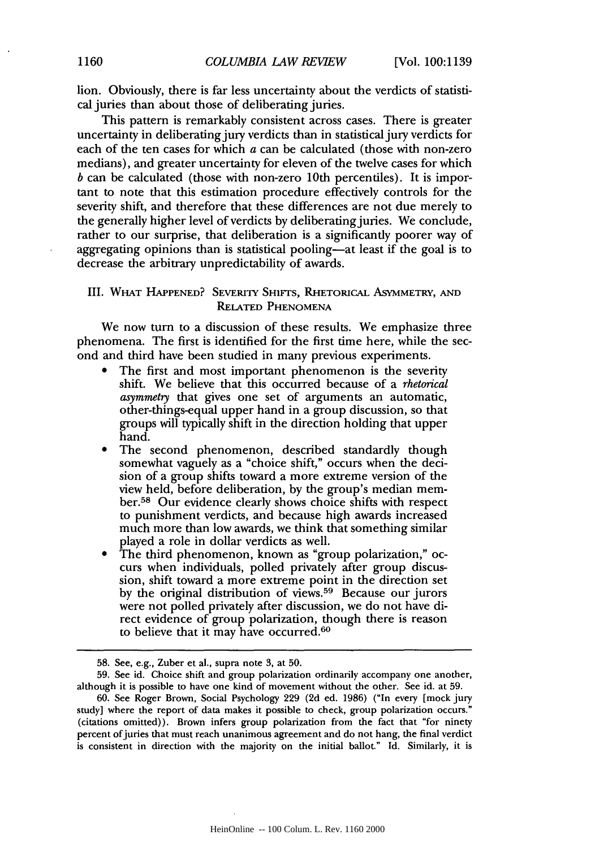lion. Obviously, there is far less uncertainty about the verdicts of statistical juries than about those of deliberating juries.

This pattern is remarkably consistent across cases. There is greater uncertainty in deliberating jury verdicts than in statistical jury verdicts for each of the ten cases for which a can be calculated (those with non-zero medians), and greater uncertainty for eleven of the twelve cases for which *b* can be calculated (those with non-zero 10th percentiles). It is important to note that this estimation procedure effectively controls for the severity shift, and therefore that these differences are not due merely to the generally higher level of verdicts by deliberatingjuries. We conclude, rather to our surprise, that deliberation is a significantly poorer way of aggregating opinions than is statistical pooling-at least if the goal is to decrease the arbitrary unpredictability of awards.

# III. WHAT HAPPENED? SEVERITY SHIFrs, RHETORICAL ASYMMETRY, AND RELATED PHENOMENA

We now turn to a discussion of these results. We emphasize three phenomena. The first is identified for the first time here, while the second and third have been studied in many previous experiments.

- The first and most important phenomenon is the severity shift. We believe that this occurred because of a *rhetorical asymmetry* that gives one set of arguments an automatic, other-things-equal upper hand in a group discussion, so that groups will typically shift in the direction holding that upper hand.
- The second phenomenon, described standardly though somewhat vaguely as a "choice shift," occurs when the decision of a group shifts toward a more extreme version of the view held, before deliberation, by the group's median member.<sup>58</sup> Our evidence clearly shows choice shifts with respect to punishment verdicts, and because high awards increased much more than low awards, we think that something similar played a role in dollar verdicts as well.
- **"** The third phenomenon, known as "group polarization," occurs when individuals, polled privately after group discussion, shift toward a more extreme point in the direction set by the original distribution of views. 59 Because our jurors were not polled privately after discussion, we do not have direct evidence of group polarization, though there is reason to believe that it may have occurred.<sup>60</sup>

<sup>58.</sup> See, e.g., Zuber et al., supra note 3, at 50.

<sup>59.</sup> See id. Choice shift and group polarization ordinarily accompany one another, although it is possible to have one kind of movement without the other. See id. at 59.

<sup>60.</sup> See Roger Brown, Social Psychology 229 (2d ed. 1986) ("In every [mock jury study] where the report of data makes it possible to check, group polarization occurs." (citations omitted)). Brown infers group polarization from the fact that "for ninety percent of juries that must reach unanimous agreement and do not hang, the final verdict is consistent in direction with the majority on the initial ballot." Id. Similarly, it is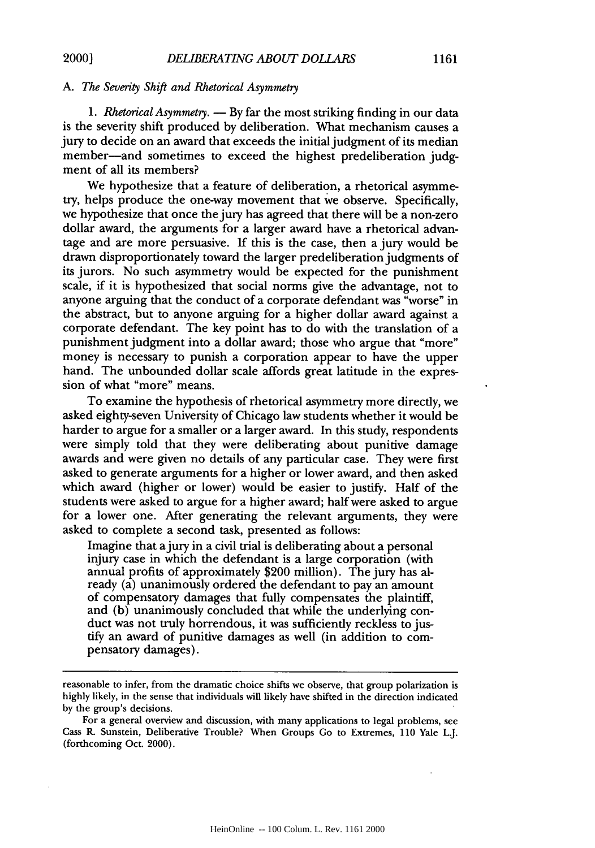## *A. The Severity Shift and Rhetorical Asymmetry*

1. *Rhetorical Asymmetry.* — By far the most striking finding in our data is the severity shift produced by deliberation. What mechanism causes a jury to decide on an award that exceeds the initial judgment of its median member-and sometimes to exceed the highest predeliberation judgment of all its members?

We hypothesize that a feature of deliberation, a rhetorical asymmetry, helps produce the one-way movement that we observe. Specifically, we hypothesize that once the jury has agreed that there will be a non-zero dollar award, the arguments for a larger award have a rhetorical advantage and are more persuasive. If this is the case, then a jury would be drawn disproportionately toward the larger predeliberation judgments of its jurors. No such asymmetry would be expected for the punishment scale, if it is hypothesized that social norms give the advantage, not to anyone arguing that the conduct of a corporate defendant was "worse" in the abstract, but to anyone arguing for a higher dollar award against a corporate defendant. The key point has to do with the translation of a punishment judgment into a dollar award; those who argue that "more" money is necessary to punish a corporation appear to have the upper hand. The unbounded dollar scale affords great latitude in the expression of what "more" means.

To examine the hypothesis of rhetorical asymmetry more directly, we asked eighty-seven University of Chicago law students whether it would be harder to argue for a smaller or a larger award. In this study, respondents were simply told that they were deliberating about punitive damage awards and were given no details of any particular case. They were first asked to generate arguments for a higher or lower award, and then asked which award (higher or lower) would be easier to justify. Half of the students were asked to argue for a higher award; half were asked to argue for a lower one. After generating the relevant arguments, they were asked to complete a second task, presented as follows:

Imagine that ajury in a civil trial is deliberating about a personal injury case in which the defendant is a large corporation (with annual profits of approximately \$200 million). The jury has already (a) unanimously ordered the defendant to pay an amount of compensatory damages that fully compensates the plaintiff, and (b) unanimously concluded that while the underlying conduct was not truly horrendous, it was sufficiently reckless to justify an award of punitive damages as well (in addition to compensatory damages).

reasonable to infer, from the dramatic choice shifts we observe, that group polarization is highly likely, in the sense that individuals will likely have shifted in the direction indicated by the group's decisions.

For a general overview and discussion, with many applications to legal problems, see Cass R. Sunstein, Deliberative Trouble? When Groups Go to Extremes, 110 Yale L.J. (forthcoming Oct. 2000).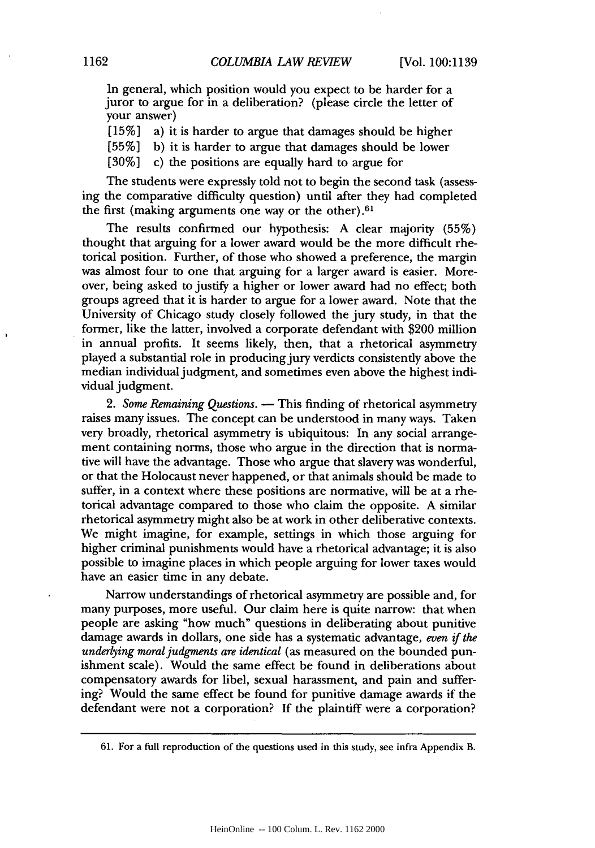In general, which position would you expect to be harder for a juror to argue for in a deliberation? (please circle the letter of your answer)

[15%] a) it is harder to argue that damages should be higher

[55%] b) it is harder to argue that damages should be lower

[30%] c) the positions are equally hard to argue for

The students were expressly told not to begin the second task (assessing the comparative difficulty question) until after they had completed the first (making arguments one way or the other).<sup>61</sup>

The results confirmed our hypothesis: A clear majority (55%) thought that arguing for a lower award would be the more difficult rhetorical position. Further, of those who showed a preference, the margin was almost four to one that arguing for a larger award is easier. Moreover, being asked to justify a higher or lower award had no effect; both groups agreed that it is harder to argue for a lower award. Note that the University of Chicago study closely followed the jury study, in that the former, like the latter, involved a corporate defendant with \$200 million in annual profits. It seems likely, then, that a rhetorical asymmetry played a substantial role in producing jury verdicts consistently above the median individual judgment, and sometimes even above the highest individual judgment.

2. *Some Remaining Questions.* **-** This finding of rhetorical asymmetry raises many issues. The concept can be understood in many ways. Taken very broadly, rhetorical asymmetry is ubiquitous: In any social arrangement containing norms, those who argue in the direction that is normative will have the advantage. Those who argue that slavery was wonderful, or that the Holocaust never happened, or that animals should be made to suffer, in a context where these positions are normative, will be at a rhetorical advantage compared to those who claim the opposite. A similar rhetorical asymmetry might also be at work in other deliberative contexts. We might imagine, for example, settings in which those arguing for higher criminal punishments would have a rhetorical advantage; it is also possible to imagine places in which people arguing for lower taxes would have an easier time in any debate.

Narrow understandings of rhetorical asymmetry are possible and, for many purposes, more useful. Our claim here is quite narrow: that when people are asking "how much" questions in deliberating about punitive damage awards in dollars, one side has a systematic advantage, *even* if *the underlying moral judgments are identical* (as measured on the bounded punishment scale). Would the same effect be found in deliberations about compensatory awards for libel, sexual harassment, and pain and suffering? Would the same effect be found for punitive damage awards if the defendant were not a corporation? If the plaintiff were a corporation?

<sup>61.</sup> For a full reproduction of the questions used in this study, see infra Appendix B.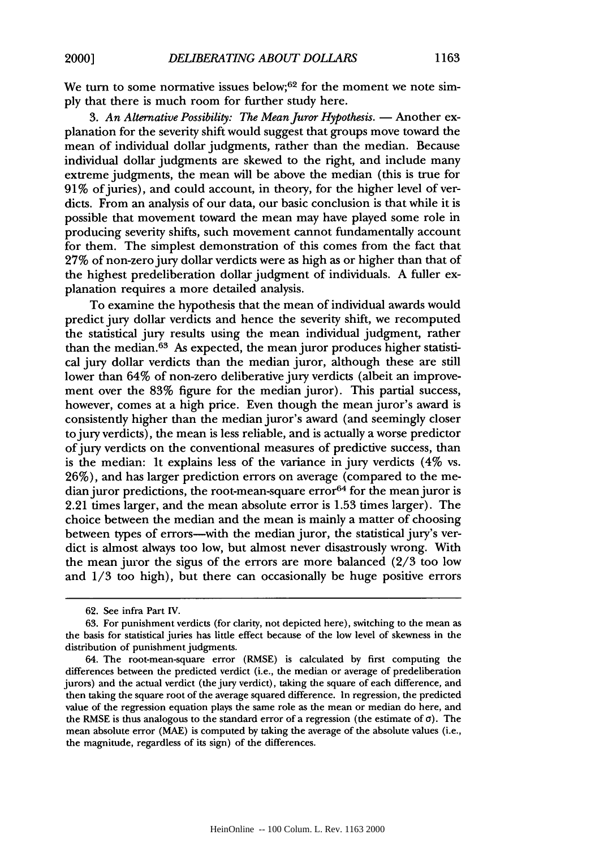We turn to some normative issues below; $62$  for the moment we note simply that there is much room for further study here.

3. An Alternative Possibility: The Mean Juror Hypothesis. - Another explanation for the severity shift would suggest that groups move toward the mean of individual dollar judgments, rather than the median. Because individual dollar judgments are skewed to the right, and include many extreme judgments, the mean will be above the median (this is true for 91% of juries), and could account, in theory, for the higher level of verdicts. From an analysis of our data, our basic conclusion is that while it is possible that movement toward the mean may have played some role in producing severity shifts, such movement cannot fundamentally account for them. The simplest demonstration of this comes from the fact that 27% of non-zero jury dollar verdicts were as high as or higher than that of the highest predeliberation dollar judgment of individuals. A fuller explanation requires a more detailed analysis.

To examine the hypothesis that the mean of individual awards would predict jury dollar verdicts and hence the severity shift, we recomputed the statistical jury results using the mean individual judgment, rather than the median. 63 As expected, the mean juror produces higher statistical jury dollar verdicts than the median juror, although these are still lower than 64% of non-zero deliberative jury verdicts (albeit an improvement over the 83% figure for the median juror). This partial success, however, comes at a high price. Even though the mean juror's award is consistently higher than the median juror's award (and seemingly closer to jury verdicts), the mean is less reliable, and is actually a worse predictor of jury verdicts on the conventional measures of predictive success, than is the median: It explains less of the variance in jury verdicts (4% vs. 26%), and has larger prediction errors on average (compared to the median juror predictions, the root-mean-square error $64$  for the mean juror is 2.21 times larger, and the mean absolute error is 1.53 times larger). The choice between the median and the mean is mainly a matter of choosing between types of errors—with the median juror, the statistical jury's verdict is almost always too low, but almost never disastrously wrong. With the mean juror the sigus of the errors are more balanced  $(2/3 \text{ too low})$ and 1/3 too high), but there can occasionally be huge positive errors

<sup>62.</sup> See infra Part IV.

<sup>63.</sup> For punishment verdicts (for clarity, not depicted here), switching to the mean as the basis for statistical juries has little effect because of the low level of skewness in the distribution of punishment judgments.

<sup>64.</sup> The root-mean-square error (RMSE) is calculated by first computing the differences between the predicted verdict (i.e., the median or average of predeliberation jurors) and the actual verdict (the jury verdict), taking the square of each difference, and then taking the square root of the average squared difference. In regression, the predicted value of the regression equation plays the same role as the mean or median do here, and the RMSE is thus analogous to the standard error of a regression (the estimate of  $\sigma$ ). The mean absolute error (MAE) is computed by taking the average of the absolute values (i.e., the magnitude, regardless of its sign) of the differences.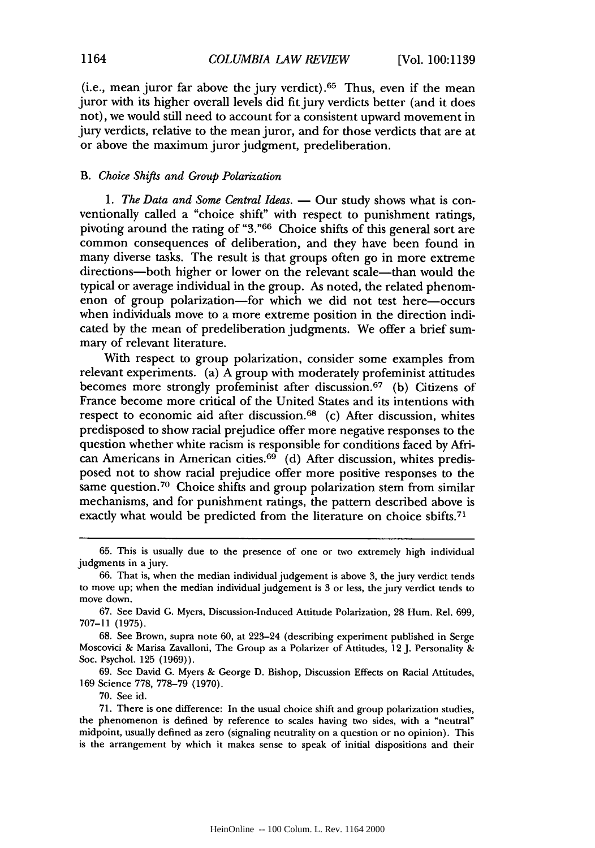(i.e., mean juror far above the jury verdict). $65$  Thus, even if the mean juror with its higher overall levels did fit jury verdicts better (and it does not), we would still need to account for a consistent upward movement in jury verdicts, relative to the mean juror, and for those verdicts that are at or above the maximum juror judgment, predeliberation.

# *B. Choice* Shifts *and Group Polarization*

1. The Data and Some Central Ideas. — Our study shows what is conventionally called a "choice shift" with respect to punishment ratings, pivoting around the rating of **"3."66** Choice shifts of this general sort are common consequences of deliberation, and they have been found in many diverse tasks. The result is that groups often go in more extreme directions-both higher or lower on the relevant scale-than would the typical or average individual in the group. As noted, the related phenomenon of group polarization-for which we did not test here-occurs when individuals move to a more extreme position in the direction indicated by the mean of predeliberation judgments. We offer a brief summary of relevant literature.

With respect to group polarization, consider some examples from relevant experiments. (a) A group with moderately profeminist attitudes becomes more strongly profeminist after discussion.<sup>67</sup> (b) Citizens of France become more critical of the United States and its intentions with respect to economic aid after discussion.<sup>68</sup> (c) After discussion, whites predisposed to show racial prejudice offer more negative responses to the question whether white racism is responsible for conditions faced by African Americans in American cities.  $69$  (d) After discussion, whites predisposed not to show racial prejudice offer more positive responses to the same question.<sup>70</sup> Choice shifts and group polarization stem from similar mechanisms, and for punishment ratings, the pattern described above is exactly what would be predicted from the literature on choice sbifts.<sup>71</sup>

69. See David G. Myers & George D. Bishop, Discussion Effects on Racial Attitudes, 169 Science 778, 778-79 (1970).

70. See id.

<sup>65.</sup> This is usually due to the presence of one or two extremely high individual judgments in a jury.

<sup>66.</sup> That is, when the median individual judgement is above 3, the jury verdict tends to move up; when the median individual judgement is 3 or less, the jury verdict tends to move down.

<sup>67.</sup> See David G. Myers, Discussion-Induced Attitude Polarization, 28 Hum. Rel. 699, 707-11 (1975).

<sup>68.</sup> See Brown, supra note 60, at 223-24 (describing experiment published in Serge Moscovici & Marisa Zavalloni, The Group as a Polarizer of Attitudes, 12 J. Personality & Soc. Psychol. 125 (1969)).

<sup>71.</sup> There is one difference: In the usual choice shift and group polarization studies, the phenomenon is defined by reference to scales having two sides, with a "neutral" midpoint, usually defined as zero (signaling neutrality on a question or no opinion). This is the arrangement by which it makes sense to speak of initial dispositions and their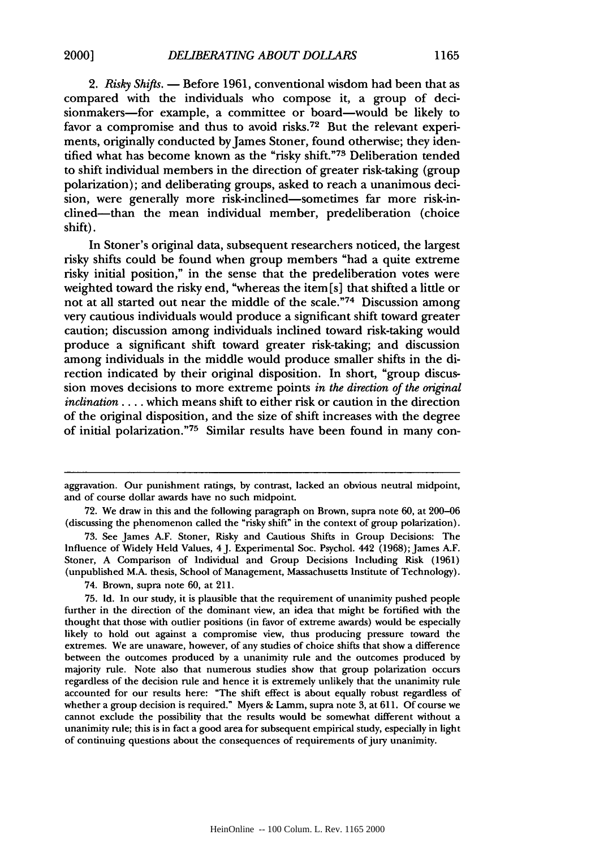compared with the individuals who compose it, a group of decisionmakers-for example, a committee or board-would be likely to favor a compromise and thus to avoid risks. 72 But the relevant **experi**ments, originally conducted by James Stoner, found otherwise; they identified what has become known as the "risky shift."<sup>73</sup> Deliberation tended to shift individual members in the direction of greater risk-taking (group polarization); and deliberating groups, asked to reach a unanimous decision, were generally more risk-inclined-sometimes far more risk-inclined-than the mean individual member, predeliberation (choice shift).

In Stoner's original data, subsequent researchers noticed, the largest risky shifts could be found when group members "had a quite extreme risky initial position," in the sense that the predeliberation votes were weighted toward the risky end, "whereas the item **[s]** that shifted a little or not at all started out near the middle of the scale."<sup>74</sup> Discussion among very cautious individuals would produce a significant shift toward greater caution; discussion among individuals inclined toward risk-taking would produce a significant shift toward greater risk-taking; and discussion among individuals in the middle would produce smaller shifts in the direction indicated **by** their original disposition. In short, "group discussion moves decisions to more extreme points *in the direction of the original inclination ....* which means shift to either risk or caution in the direction of the original disposition, and the size of shift increases with the degree of initial polarization."<sup>75</sup> Similar results have been found in many con-

aggravation. Our punishment ratings, **by** contrast, lacked an obvious neutral midpoint, and of course dollar awards have no such midpoint.

**<sup>72.</sup>** We draw in this and the following paragraph on Brown, supra note **60,** at **200-06** (discussing the phenomenon called the "risky shift" in the context of group polarization).

**<sup>73.</sup>** See James **A.F.** Stoner, Risky and Cautious Shifts in Group Decisions: The Influence of Widely Held Values, 4 **J.** Experimental Soc. Psychol. 442 **(1968);** James **A.F.** Stoner, **A** Comparison of Individual and Group Decisions Including Risk **(1961)** (unpublished M.A. thesis, School of Management, Massachusetts Institute of Technology).

<sup>74.</sup> Brown, supra note **60,** at 211.

**<sup>75.</sup> Id.** In our study, it is plausible that the requirement of unanimity pushed people further in the direction of the dominant view, an idea that might be fortified with the thought that those with outlier positions (in favor of extreme awards) would be especially likely to hold out against a compromise view, thus producing pressure toward the extremes. We are unaware, however, of any studies of choice shifts that show a difference between the outcomes produced **by** a unanimity rule and the outcomes produced **by** majority rule. Note also that numerous studies show that group polarization occurs regardless of the decision rule and hence it is extremely unlikely that the unanimity rule accounted for our results here: "The shift effect is about equally robust regardless of whether a group decision is required." Myers **&** Lamm, supra note **3,** at **611. Of** course we cannot exclude the possibility that the results would be somewhat different without a unanimity rule; this is in fact a good area for subsequent empirical study, especially in light of continuing questions about the consequences of requirements of jury unanimity.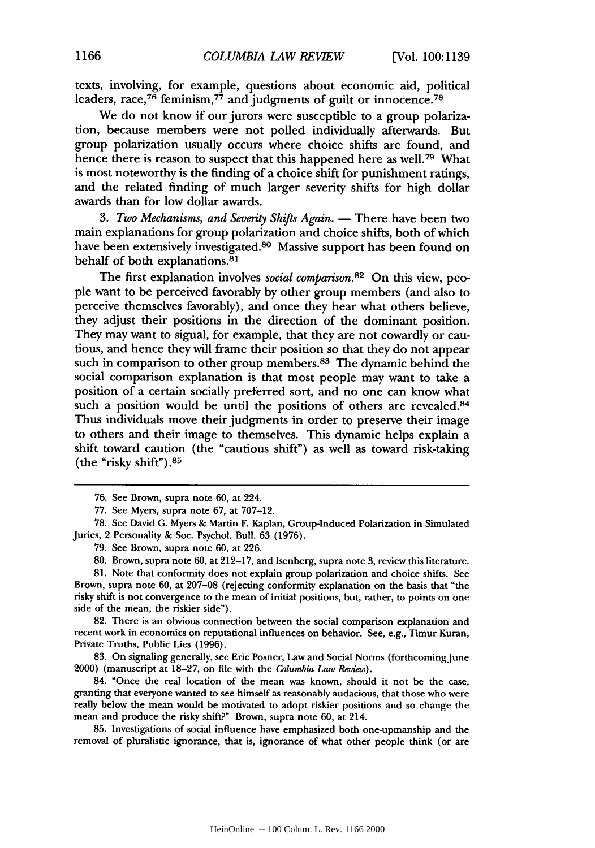texts, involving, for example, questions about economic aid, political leaders, race,  $76$  feminism,  $77$  and judgments of guilt or innocence.  $78$ 

We do not know if our jurors were susceptible to a group polarization, because members were not polled individually afterwards. But group polarization usually occurs where choice shifts are found, and hence there is reason to suspect that this happened here as well.<sup>79</sup> What is most noteworthy is the finding of a choice shift for punishment ratings, and the related finding of much larger severity shifts for high dollar awards than for low dollar awards.

*3. Two Mechanisms, and Severity Shifts Again.* **-** There have been two main explanations for group polarization and choice shifts, both of which have been extensively investigated.<sup>80</sup> Massive support has been found on behalf of both explanations.<sup>81</sup>

The first explanation involves *social comparison*.<sup>82</sup> On this view, people want to be perceived favorably by other group members (and also to perceive themselves favorably), and once they hear what others believe, they adjust their positions in the direction of the dominant position. They may want to sigual, for example, that they are not cowardly or cautious, and hence they will frame their position so that they do not appear such in comparison to other group members.<sup>83</sup> The dynamic behind the social comparison explanation is that most people may want to take a position of a certain socially preferred sort, and no one can know what such a position would be until the positions of others are revealed.<sup>84</sup> Thus individuals move their judgments in order to preserve their image to others and their image to themselves. This dynamic helps explain a shift toward caution (the "cautious shift") as well as toward risk-taking (the "risky shift"). $85$ 

79. See Brown, supra note 60, at 226.

81. Note that conformity does not explain group polarization and choice shifts. See Brown, supra note 60, at 207-08 (rejecting conformity explanation on the basis that "the risky shift is not convergence to the mean of initial positions, but, rather, to points on one side of the mean, the riskier side").

82. There is an obvious connection between the social comparison explanation and recent work in economics on reputational influences on behavior. See, e.g., Timur Kuran, Private Truths, Public Lies (1996).

83. On signaling generally, see Eric Posner, Law and Social Norms (forthcoming June 2000) (manuscript at 18-27, on file with the *Columbia Law Review).*

84. "Once the real location of the mean was known, should it not be the case, granting that everyone wanted to see himself as reasonably audacious, that those who were really below the mean would be motivated to adopt riskier positions and so change the mean and produce the risky shift?" Brown, supra note 60, at 214.

85. Investigations of social influence have emphasized both one-upmanship and the removal of pluralistic ignorance, that is, ignorance of what other people think (or are

<sup>76.</sup> See Brown, supra note 60, at 224.

<sup>77.</sup> See Myers, supra note 67, at 707-12.

<sup>78.</sup> See David G. Myers & Martin F. Kaplan, Group-Induced Polarization in Simulated Juries, 2 Personality & Soc. Psychol. Bull. 63 (1976).

<sup>80.</sup> Brown, supra note 60, at 212-17, and Isenberg, supra note 3, review this literature.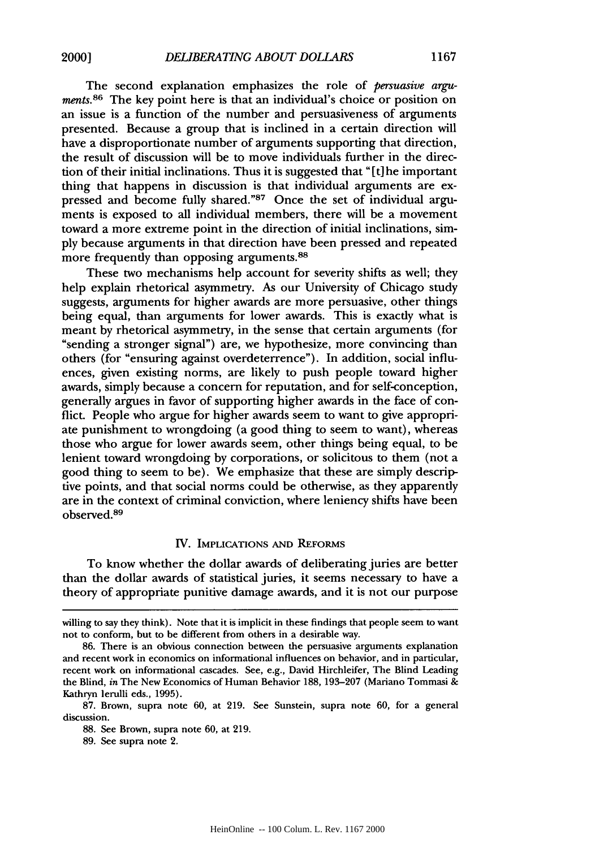more frequently than opposing arguments.<sup>88</sup>

The second explanation emphasizes the role of *persuasive arguments.*<sup>86</sup> The key point here is that an individual's choice or position on an issue is a function of the number and persuasiveness of arguments presented. Because a group that is inclined in a certain direction will have a disproportionate number of arguments supporting that direction, the result of discussion will be to move individuals further in the direction of their initial inclinations. Thus it is suggested that "[t]he important thing that happens in discussion is that individual arguments are expressed and become fully shared."<sup>87</sup> Once the set of individual arguments is exposed to all individual members, there will be a movement toward a more extreme point in the direction of initial inclinations, simply because arguments in that direction have been pressed and repeated

These two mechanisms help account for severity shifts as well; they help explain rhetorical asymmetry. As our University of Chicago study suggests, arguments for higher awards are more persuasive, other things being equal, than arguments for lower awards. This is exactly what is meant by rhetorical asymmetry, in the sense that certain arguments (for "sending a stronger signal") are, we hypothesize, more convincing than others (for "ensuring against overdeterrence"). In addition, social influences, given existing norms, are likely to push people toward higher awards, simply because a concern for reputation, and for self-conception, generally argues in favor of supporting higher awards in the face of conflict. People who argue for higher awards seem to want to give appropriate punishment to wrongdoing (a good thing to seem to want), whereas those who argue for lower awards seem, other things being equal, to be lenient toward wrongdoing by corporations, or solicitous to them (not a good thing to seem to be). We emphasize that these are simply descriptive points, and that social norms could be otherwise, as they apparently are in the context of criminal conviction, where leniency shifts have been observed.<sup>89</sup>

## IV. **IMPLICATIONS AND** REFORMS

To know whether the dollar awards of deliberating juries are better than the dollar awards of statistical juries, it seems necessary to have a theory of appropriate punitive damage awards, and it is not our purpose

willing to say they think). Note that it is implicit in these findings that people seem to want not to conform, but to be different from others in a desirable way.

**<sup>86.</sup>** There is an obvious connection between the persuasive arguments explanation and recent work in economics on informational influences on behavior, and in particular, recent work on informational cascades. See, e.g., David Hirchleifer, The Blind Leading the Blind, *in* The New Economics of Human Behavior **188,** 193-207 (Mariano Tommasi & Kathryn lerulli eds., 1995).

<sup>87.</sup> Brown, supra note 60, at 219. See Sunstein, supra note 60, for a general discussion.

<sup>88.</sup> See Brown, supra note 60, at 219.

<sup>89.</sup> See supra note 2.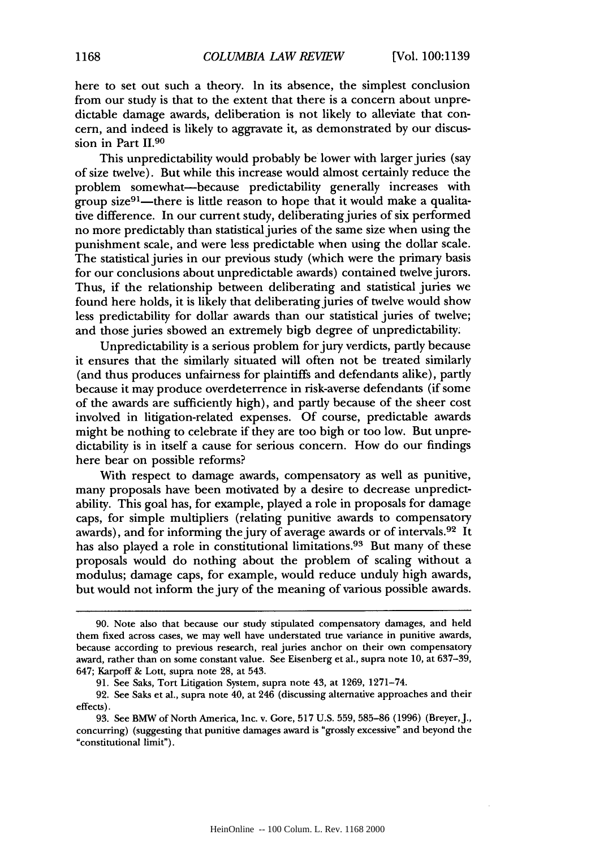here to set out such a theory. In its absence, the simplest conclusion from our study is that to the extent that there is a concern about unpredictable damage awards, deliberation is not likely to alleviate that concern, and indeed is likely to aggravate it, as demonstrated by our discussion in Part **11.90**

This unpredictability would probably be lower with larger juries (say of size twelve). But while this increase would almost certainly reduce the problem somewhat-because predictability generally increases with group size $91$ —there is little reason to hope that it would make a qualitative difference. In our current study, deliberating juries of six performed no more predictably than statistical juries of the same size when using the punishment scale, and were less predictable when using the dollar scale. The statistical juries in our previous study (which were the primary basis for our conclusions about unpredictable awards) contained twelve jurors. Thus, if the relationship between deliberating and statistical juries we found here holds, it is likely that deliberating juries of twelve would show less predictability for dollar awards than our statistical juries of twelve; and those juries showed an extremely high degree of unpredictability.

Unpredictability is a serious problem for jury verdicts, partly because it ensures that the similarly situated will often not be treated similarly (and thus produces unfairness for plaintiffs and defendants alike), partly because it may produce overdeterrence in risk-averse defendants (if some of the awards are sufficiently high), and partly because of the sheer cost involved in litigation-related expenses. Of course, predictable awards might be nothing to celebrate if they are too high or too low. But unpredictability is in itself a cause for serious concern. How do our findings here bear on possible reforms?

With respect to damage awards, compensatory as well as punitive, many proposals have been motivated by a desire to decrease unpredictability. This goal has, for example, played a role in proposals for damage caps, for simple multipliers (relating punitive awards to compensatory awards), and for informing the jury of average awards or of intervals.92 It has also played a role in constitutional limitations.<sup>93</sup> But many of these proposals would do nothing about the problem of scaling without a modulus; damage caps, for example, would reduce unduly high awards, but would not inform the jury of the meaning of various possible awards.

<sup>90.</sup> Note also that because our study stipulated compensatory damages, and held them fixed across cases, we may well have understated true variance in punitive awards, because according to previous research, real juries anchor on their own compensatory award, rather than on some constant value. See Eisenberg et al., supra note 10, at 637-39, 647; Karpoff & Lott, supra note 28, at 543.

<sup>91.</sup> See Saks, Tort Litigation System, supra note 43, at 1269, 1271-74.

<sup>92.</sup> See Saks et al., supra note 40, at 246 (discussing alternative approaches and their effects).

<sup>93.</sup> See BMW of North America, Inc. v. Gore, 517 U.S. 559, 585-86 (1996) (Breyer, J., concurring) (suggesting that punitive damages award is "grossly excessive" and beyond the "constitutional limit").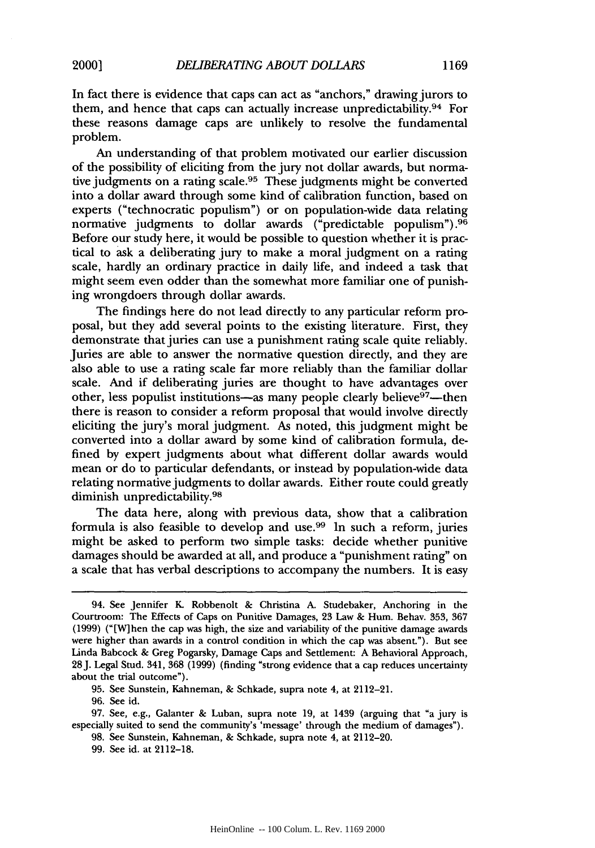In fact there is evidence that caps can act as "anchors," drawing jurors to them, and hence that caps can actually increase unpredictability. 94 For these reasons damage caps are unlikely to resolve the fundamental problem.

An understanding of that problem motivated our earlier discussion of the possibility of eliciting from the jury not dollar awards, but normative judgments on a rating scale.<sup>95</sup> These judgments might be converted into a dollar award through some kind of calibration function, based on experts ("technocratic populism") or on population-wide data relating normative judgments to dollar awards ("predictable populism").<sup>96</sup> Before our study here, it would be possible to question whether it is practical to ask a deliberating jury to make a moral judgment on a rating scale, hardly an ordinary practice in daily life, and indeed a task that might seem even odder than the somewhat more familiar one of punishing wrongdoers through dollar awards.

The findings here do not lead directly to any particular reform proposal, but they add several points to the existing literature. First, they demonstrate that juries can use a punishment rating scale quite reliably. Juries are able to answer the normative question directly, and they are also able to use a rating scale far more reliably than the familiar dollar scale. And if deliberating juries are thought to have advantages over other, less populist institutions—as many people clearly believe $\frac{97}{ }$ —then there is reason to consider a reform proposal that would involve directly eliciting the jury's moral judgment. As noted, this judgment might be converted into a dollar award by some kind of calibration formula, defined by expert judgments about what different dollar awards would mean or do to particular defendants, or instead by population-wide data relating normative judgments to dollar awards. Either route could greatly diminish unpredictability.<sup>98</sup>

The data here, along with previous data, show that a calibration formula is also feasible to develop and use. $99$  In such a reform, juries might be asked to perform two simple tasks: decide whether punitive damages should be awarded at all, and produce a "punishment rating" on a scale that has verbal descriptions to accompany the numbers. It is easy

96. See id.

<sup>94.</sup> See Jennifer *K.* Robbenolt & Christina A. Studebaker, Anchoring in the Courtroom: The Effects of Caps on Punitive Damages, 23 Law & Hum. Behav. 353, 367 (1999) ("[W]hen the cap was high, the size and variability of the punitive damage awards were higher than awards in a control condition in which the cap was absent."). But see Linda Babcock & Greg Pogarsky, Damage Caps and Settlement: A Behavioral Approach, 28J. Legal Stud. 341, 368 (1999) (finding "strong evidence that a cap reduces uncertainty about the trial outcome").

<sup>95.</sup> See Sunstein, Kahneman, & Schkade, supra note 4, at 2112-21.

<sup>97.</sup> See, e.g., Galanter & Luban, supra note 19, at 1439 (arguing that "a jury is especially suited to send the community's 'message' through the medium of damages").

<sup>98.</sup> See Sunstein, Kahneman, & Schkade, supra note 4, at 2112-20.

<sup>99.</sup> See id. at 2112-18.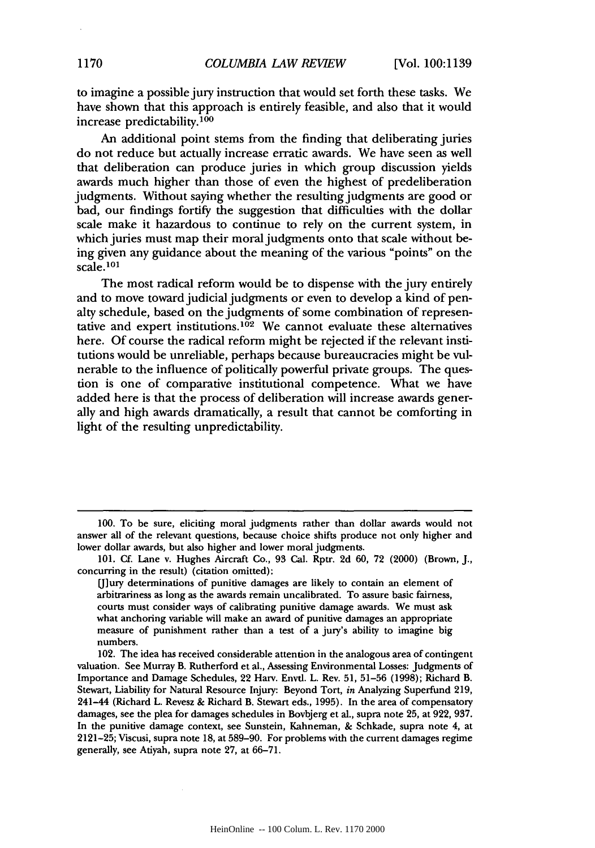to imagine a possible jury instruction that would set forth these tasks. We have shown that this approach is entirely feasible, and also that it would increase predictability.100

An additional point stems from the finding that deliberating juries do not reduce but actually increase erratic awards. We have seen as well that deliberation can produce juries in which group discussion yields awards much higher than those of even the highest of predeliberation judgments. Without saying whether the resulting judgments are good or bad, our findings fortify the suggestion that difficulties with the dollar scale make it hazardous to continue to rely on the current system, in which juries must map their moral judgments onto that scale without being given any guidance about the meaning of the various "points" on the scale. <sup>101</sup>

The most radical reform would be to dispense with the jury entirely and to move toward judicial judgments or even to develop a kind of penalty schedule, based on the judgments of some combination of representative and expert institutions.<sup>102</sup> We cannot evaluate these alternatives here. Of course the radical reform might be rejected if the relevant institutions would be unreliable, perhaps because bureaucracies might be vulnerable to the influence of politically powerful private groups. The question is one of comparative institutional competence. What we have added here is that the process of deliberation will increase awards generally and high awards dramatically, a result that cannot be comforting in light of the resulting unpredictability.

**<sup>100.</sup>** To be sure, eliciting moral judgments rather than dollar awards would not answer all of the relevant questions, because choice shifts produce not only higher and lower dollar awards, but also higher and lower moral judgments.

<sup>101.</sup> Cf. Lane v. Hughes Aircraft Co., **93** Cal. Rptr. **2d** 60, **72** (2000) (Brown, **J.,** concurring in the result) (citation omitted):

U[lury determinations of punitive damages are likely to contain an element of arbitrariness as long as the awards remain uncalibrated. To assure basic fairness, courts must consider ways of calibrating punitive damage awards. We must ask what anchoring variable will make an award of punitive damages an appropriate measure of punishment rather than a test of a jury's ability to imagine big numbers.

<sup>102.</sup> The idea has received considerable attention in the analogous area of contingent valuation. See Murray B. Rutherford et al., Assessing Environmental Losses: Judgments of Importance and Damage Schedules, 22 Harv. Envtl. L. Rev. **51, 51-56** (1998); Richard B. Stewart, Liability for Natural Resource Injury: Beyond Tort, *in* Analyzing Superfund 219, 241-44 (Richard L. Revesz **&** Richard B. Stewart eds., 1995). In the area of compensatory damages, see the plea for damages schedules in Bovbjerg et al., supra note **25,** at **922,** 937. In the punitive damage context, see Sunstein, Kahneman, & Schkade, supra note 4, at **2121-25;** Viscusi, supra note 18, at 589-90. For problems with the current damages regime generally, see Atiyah, supra note **27,** at 66-71.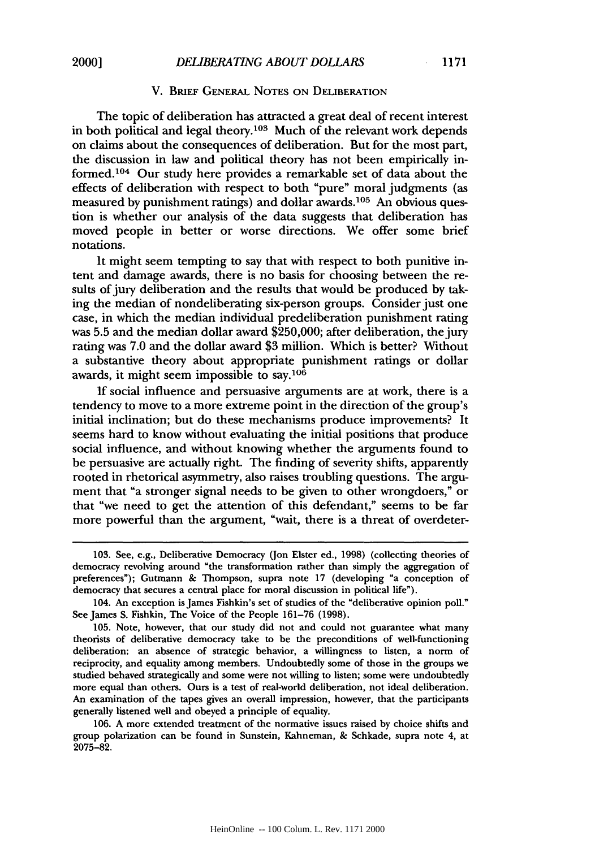## V. **BRIEF GENERAL NOTES ON** DELIBERATION

The topic of deliberation has attracted a great deal of recent interest in both political and legal theory.<sup>103</sup> Much of the relevant work depends on claims about the consequences of deliberation. But for the most part, the discussion in law and political theory has not been empirically informed.<sup>104</sup> Our study here provides a remarkable set of data about the effects of deliberation with respect to both "pure" moral judgments (as measured by punishment ratings) and dollar awards.105 An obvious question is whether our analysis of the data suggests that deliberation has moved people in better or worse directions. We offer some brief notations.

It might seem tempting to say that with respect to both punitive intent and damage awards, there is no basis for choosing between the results of jury deliberation and the results that would be produced by taking the median of nondeliberating six-person groups. Consider just one case, in which the median individual predeliberation punishment rating was 5.5 and the median dollar award \$250,000; after deliberation, the jury rating was **7.0** and the dollar award \$3 million. Which is better? Without a substantive theory about appropriate punishment ratings or dollar awards, it might seem impossible to say.  $10\overline{6}$ 

If social influence and persuasive arguments are at work, there is a tendency to move to a more extreme point in the direction of the group's initial inclination; but do these mechanisms produce improvements? It seems hard to know without evaluating the initial positions that produce social influence, and without knowing whether the arguments found to be persuasive are actually right. The finding of severity shifts, apparently rooted in rhetorical asymmetry, also raises troubling questions. The argument that "a stronger signal needs to be given to other wrongdoers," or that "we need to get the attention of this defendant," seems to be far more powerful than the argument, "wait, there is a threat of overdeter-

106. A more extended treatment of the normative issues raised by choice shifts and group polarization can be found in Sunstein, Kahneman, & Schkade, supra note 4, at **2075-82.**

<sup>103.</sup> See, e.g., Deliberative Democracy (Jon Elster ed., **1998)** (collecting theories of democracy revolving around "the transformation rather than simply the aggregation of preferences"); Gutmann & Thompson, supra note **17** (developing "a conception of democracy that secures a central place for moral discussion in political life").

<sup>104.</sup> An exception is James Fishkin's set of studies of the "deliberative opinion poll." See James **S.** Fishkin, The Voice of the People 161-76 **(1998).**

**<sup>105.</sup>** Note, however, that our study did not and could not guarantee what many theorists of deliberative democracy take to be the preconditions of well-functioning deliberation: an absence of strategic behavior, a willingness to listen, a norm of reciprocity, and equality among members. Undoubtedly some of those in the groups we studied behaved strategically and some were not willing to listen; some were undoubtedly more equal than others. Ours is a test of real-world deliberation, not ideal deliberation. An examination of the tapes gives an overall impression, however, that the participants generally listened well and obeyed a principle of equality.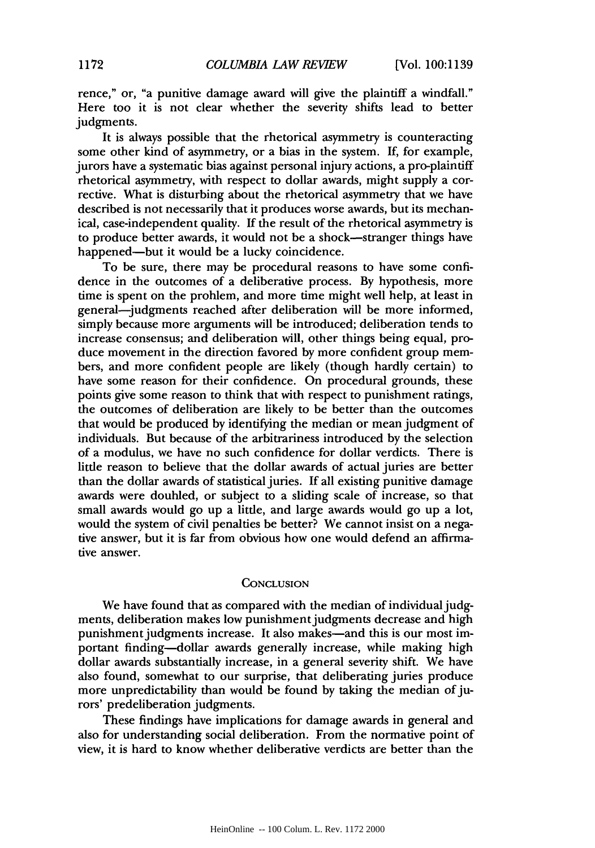rence," or, "a punitive damage award will give the plaintiff a windfall." Here too it is not clear whether the severity shifts lead to better judgments.

It is always possible that the rhetorical asymmetry is counteracting some other kind of asymmetry, or a bias in the system. If, for example, jurors have a systematic bias against personal injury actions, a pro-plaintiff rhetorical asymmetry, with respect to dollar awards, might supply a corrective. What is disturbing about the rhetorical asymmetry that we have described is not necessarily that it produces worse awards, but its mechanical, case-independent quality. If the result of the rhetorical asymmetry is to produce better awards, it would not be a shock-stranger things have happened—but it would be a lucky coincidence.

To be sure, there may be procedural reasons to have some confidence in the outcomes of a deliberative process. By hypothesis, more time is spent on the problem, and more time might well help, at least in general-judgments reached after deliberation will be more informed, simply because more arguments will be introduced; deliberation tends to increase consensus; and deliberation will, other things being equal, produce movement in the direction favored by more confident group members, and more confident people are likely (though hardly certain) to have some reason for their confidence. On procedural grounds, these points give some reason to think that with respect to punishment ratings, the outcomes of deliberation are likely to be better than the outcomes that would be produced by identifying the median or mean judgment of individuals. But because of the arbitrariness introduced by the selection of a modulus, we have no such confidence for dollar verdicts. There is little reason to believe that the dollar awards of actual juries are better than the dollar awards of statistical juries. If all existing punitive damage awards were doubled, or subject to a sliding scale of increase, so that small awards would go up a little, and large awards would go up a lot, would the system of civil penalties be better? We cannot insist on a negative answer, but it is far from obvious how one would defend an affirmative answer.

## **CONCLUSION**

We have found that as compared with the median of individual judgments, deliberation makes low punishment judgments decrease and high punishment judgments increase. It also makes—and this is our most important finding-dollar awards generally increase, while making high dollar awards substantially increase, in a general severity shift. We have also found, somewhat to our surprise, that deliberating juries produce more unpredictability than would be found by taking the median of jurors' predeliberation judgments.

These findings have implications for damage awards in general and also for understanding social deliberation. From the normative point of view, it is hard to know whether deliberative verdicts are better than the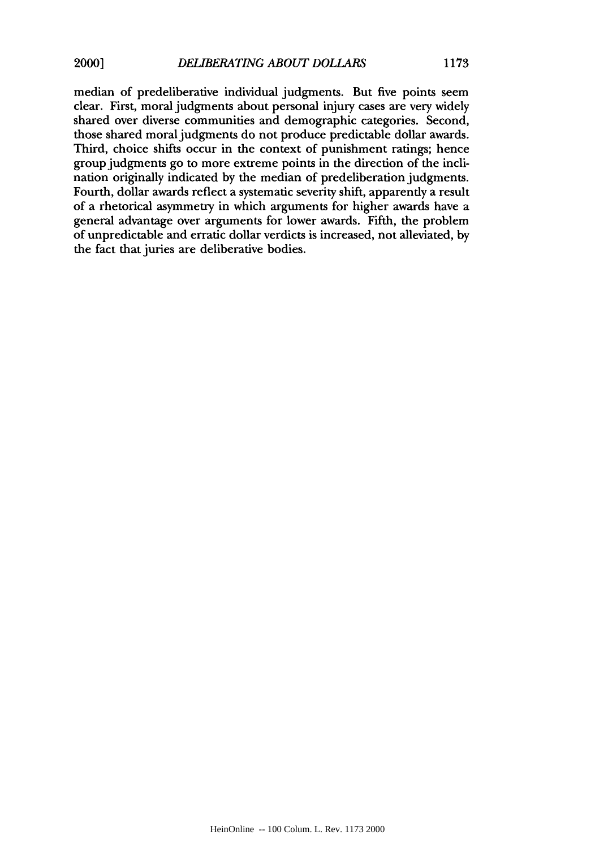median of predeliberative individual judgments. But five points seem clear. First, moral judgments about personal injury cases are very widely shared over diverse communities and demographic categories. Second, those shared moral judgments do not produce predictable dollar awards. Third, choice shifts occur in the context of punishment ratings; hence group judgments go to more extreme points in the direction of the inclination originally indicated by the median of predeliberation judgments. Fourth, dollar awards reflect a systematic severity shift, apparently a result of a rhetorical asymmetry in which arguments for higher awards have a general advantage over arguments for lower awards. Fifth, the problem of unpredictable and erratic dollar verdicts is increased, not alleviated, by the fact that juries are deliberative bodies.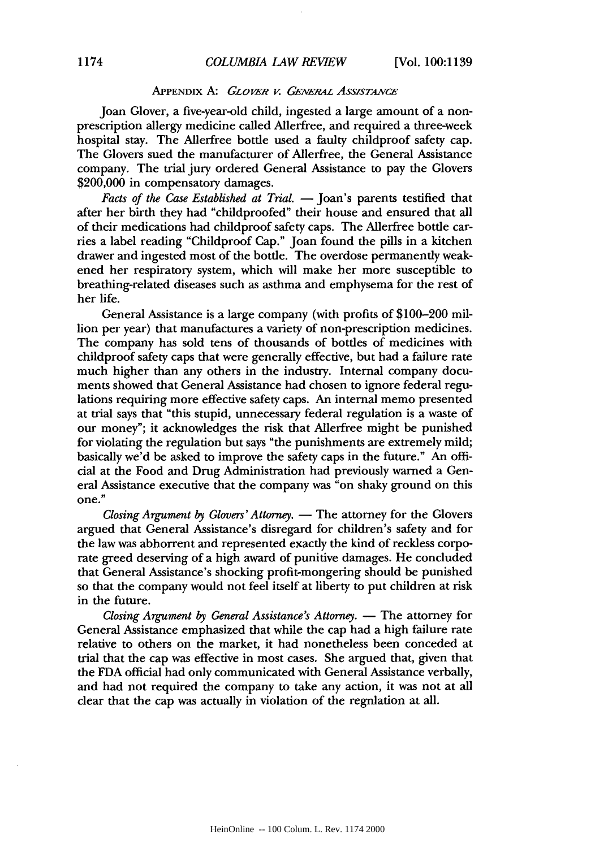## APPENDIX A: *GLOvER v. GENERAL ASSISTANCE*

Joan Glover, a five-year-old child, ingested a large amount of a nonprescription allergy medicine called Allerfree, and required a three-week hospital stay. The Allerfree bottle used a faulty childproof safety cap. The Glovers sued the manufacturer of Allerfree, the General Assistance company. The trial jury ordered General Assistance to pay the Glovers \$200,000 in compensatory damages.

*Facts of the Case Established at Trial.* **-** Joan's parents testified that after her birth they had "childproofed" their house and ensured that all of their medications had childproof safety caps. The Allerfree bottle carries a label reading "Childproof Cap." Joan found the pills in a kitchen drawer and ingested most of the bottle. The overdose permanently weakened her respiratory system, which will make her more susceptible to breathing-related diseases such as asthma and emphysema for the rest of her life.

General Assistance is a large company (with profits of \$100-200 million per year) that manufactures a variety of non-prescription medicines. The company has sold tens of thousands of bottles of medicines with childproof safety caps that were generally effective, but had a failure rate much higher than any others in the industry. Internal company documents showed that General Assistance had chosen to ignore federal regulations requiring more effective safety caps. An internal memo presented at trial says that "this stupid, unnecessary federal regulation is a waste of our money"; it acknowledges the risk that Allerfree might be punished for violating the regulation but says "the punishments are extremely mild; basically we'd be asked to improve the safety caps in the future." An official at the Food and Drug Administration had previously warned a General Assistance executive that the company was "on shaky ground on this one."

*Closing Argument by Glovers' Attorney.* **-** The attorney for the Glovers argued that General Assistance's disregard for children's safety and for the law was abhorrent and represented exactly the kind of reckless corporate greed deserving of a high award of punitive damages. He concluded that General Assistance's shocking profit-mongering should be punished so that the company would not feel itself at liberty to put children at risk in the future.

*Closing Argument by General Assistance's Attorney.* **-** The attorney for General Assistance emphasized that while the cap had a high failure rate relative to others on the market, it had nonetheless been conceded at trial that the cap was effective in most cases. She argued that, given that the FDA official had only communicated with General Assistance verbally, and had not required the company to take any action, it was not at all clear that the cap was actually in violation of the regnlation at all.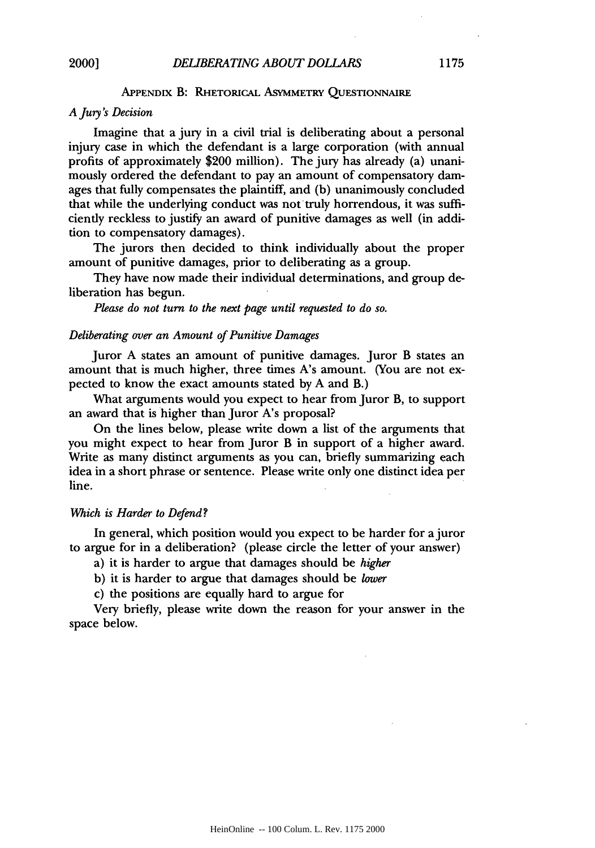#### APPENDIX B: RHETORICAL ASYMMETRY **QUESTIONNAIRE**

### *A Jury's Decision*

Imagine that a jury in a civil trial is deliberating about a personal injury case in which the defendant is a large corporation (with annual profits of approximately \$200 million). The jury has already (a) unanimously ordered the defendant to pay an amount of compensatory damages that fully compensates the plaintiff, and (b) unanimously concluded that while the underlying conduct was not truly horrendous, it was sufficiently reckless to justify an award of punitive damages as well (in addition to compensatory damages).

The jurors then decided to think individually about the proper amount of punitive damages, prior to deliberating as a group.

They have now made their individual determinations, and group deliberation has begun.

*Please do not turn to the next page until requested to do so.*

#### *Deliberating over an Amount of Punitive Damages*

Juror A states an amount of punitive damages. Juror B states an amount that is much higher, three times A's amount. (You are not expected to know the exact amounts stated by A and B.)

What arguments would you expect to hear from Juror B, to support an award that is higher than Juror A's proposal?

On the lines below, please write down a list of the arguments that you might expect to hear from Juror B in support of a higher award. Write as many distinct arguments as you can, briefly summarizing each idea in a short phrase or sentence. Please write only one distinct idea per line.

## *Which is Harder to Defend?*

In general, which position would you expect to be harder for a juror to argue for in a deliberation? (please circle the letter of your answer)

a) it is harder to argue that damages should be *higher*

b) it is harder to argue that damages should be *lower*

c) the positions are equally hard to argue for

Very briefly, please write down the reason for your answer in the space below.